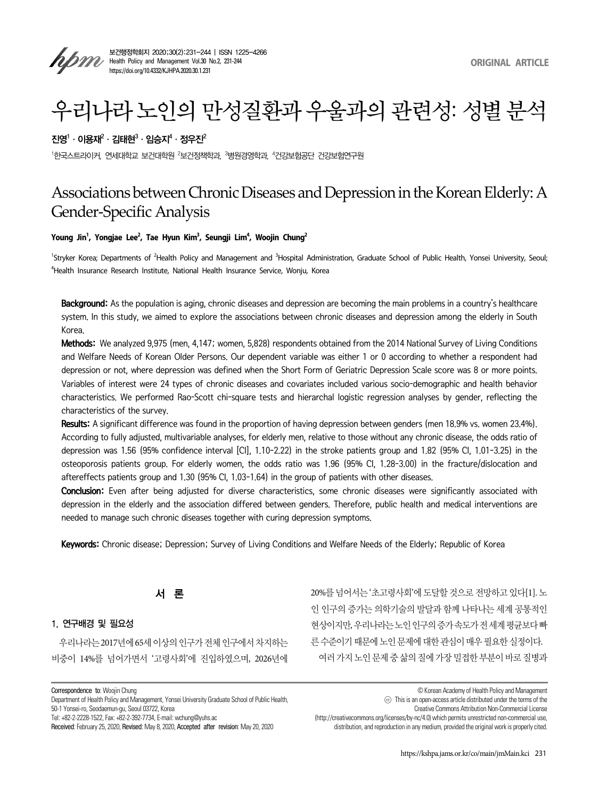

# 우리나라 노인의 만성질환과 우울과의 관련성: 성별 분석

# 진영 $^1\cdot$  이용재 $^2\cdot$  김태현 $^3\cdot$  임승지 $^4\cdot$  정우진 $^2$

 $^{\rm 1}$ 한국스트라이커, 연세대학교 보건대학원  $^{\rm 2}$ 보건정책학과,  $^{\rm 3}$ 병원경영학과,  $^{\rm 4}$ 건강보험공단 건강보험연구원

# Associations between Chronic Diseases and Depression in the Korean Elderly: A Gender-Specific Analysis

#### **Young Jin1 , Yongjae Lee2 , Tae Hyun Kim3 , Seungji Lim4 , Woojin Chung2**

<sup>1</sup>Stryker Korea; Departments of <sup>2</sup>Health Policy and Management and <sup>3</sup>Hospital Administration, Graduate School of Public Health, Yonsei University, Seoul; 4 Health Insurance Research Institute, National Health Insurance Service, Wonju, Korea

Background: As the population is aging, chronic diseases and depression are becoming the main problems in a country's healthcare system. In this study, we aimed to explore the associations between chronic diseases and depression among the elderly in South Korea.

Methods: We analyzed 9,975 (men, 4,147; women, 5,828) respondents obtained from the 2014 National Survey of Living Conditions and Welfare Needs of Korean Older Persons. Our dependent variable was either 1 or 0 according to whether a respondent had depression or not, where depression was defined when the Short Form of Geriatric Depression Scale score was 8 or more points. Variables of interest were 24 types of chronic diseases and covariates included various socio-demographic and health behavior characteristics. We performed Rao-Scott chi-square tests and hierarchal logistic regression analyses by gender, reflecting the characteristics of the survey.

Results: A significant difference was found in the proportion of having depression between genders (men 18.9% vs. women 23.4%). According to fully adjusted, multivariable analyses, for elderly men, relative to those without any chronic disease, the odds ratio of depression was 1.56 (95% confidence interval [CI], 1.10–2.22) in the stroke patients group and 1.82 (95% CI, 1.01–3.25) in the osteoporosis patients group. For elderly women, the odds ratio was 1.96 (95% CI, 1.28–3.00) in the fracture/dislocation and aftereffects patients group and 1.30 (95% CI, 1.03–1.64) in the group of patients with other diseases.

Conclusion: Even after being adjusted for diverse characteristics, some chronic diseases were significantly associated with depression in the elderly and the association differed between genders. Therefore, public health and medical interventions are needed to manage such chronic diseases together with curing depression symptoms.

Keywords: Chronic disease; Depression; Survey of Living Conditions and Welfare Needs of the Elderly; Republic of Korea

서 론

#### 1. 연구배경 및 필요성

우리나라는 2017년에 65세 이상의 인구가 전체 인구에서 차지하는 비중이 14%를 넘어가면서 '고령사회'에 진입하였으며, 2026년에 20%를 넘어서는 '초고령사회'에 도달할 것으로 전망하고 있다[1]. 노 인 인구의 증가는 의학기술의 발달과 함께 나타나는 세계 공통적인 현상이지만, 우리나라는 노인 인구의 증가 속도가 전 세계 평균보다 빠 른 수준이기 때문에 노인 문제에 대한 관심이 매우 필요한 실정이다. 여러 가지 노인 문제 중 삶의 질에 가장 밀접한 부분이 바로 질병과

© Korean Academy of Health Policy and Management

Creative Commons Attribution Non-Commercial License

(http://creativecommons.org/licenses/by-nc/4.0) which permits unrestricted non-commercial use, distribution, and reproduction in any medium, provided the original work is properly cited.

Correspondence to: Woojin Chung

Department of Health Policy and Management, Yonsei University Graduate School of Public Health, 50-1 Yonsei-ro, Seodaemun-gu, Seoul 03722, Korea

Tel: +82-2-2228-1522, Fax: +82-2-392-7734, E-mail: wchung@yuhs.ac

Received: February 25, 2020, Revised: May 8, 2020, Accepted after revision: May 20, 2020

 $(\text{co})$  This is an open-access article distributed under the terms of the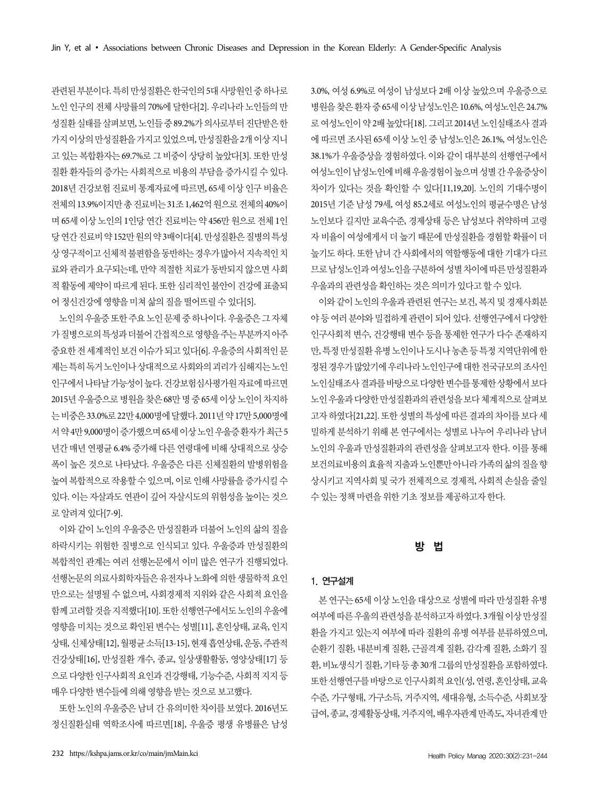관련된 부분이다. 특히 만성질환은 한국인의 5대 사망원인 중 하나로 노인 인구의 전체 사망률의 70%에 달한다[2]. 우리나라 노인들의 만 성질환 실태를 살펴보면, 노인들 중 89.2%가 의사로부터 진단받은 한 가지 이상의 만성질환을 가지고 있었으며, 만성질환을 2개 이상 지니 고 있는 복합환자는 69.7%로 그 비중이 상당히 높았다[3]. 또한 만성 질환 환자들의 증가는 사회적으로 비용의 부담을 증가시킬 수 있다. 2018년 건강보험 진료비 통계자료에 따르면, 65세 이상 인구 비율은 전체의 13.9%이지만 총 진료비는 31조 1,462억 원으로 전체의 40%이 며 65세 이상 노인의 1인당 연간 진료비는 약 456만 원으로 전체 1인 당 연간 진료비 약 152만 원의 약 3배이다[4]. 만성질환은 질병의 특성 상 영구적이고 신체적 불편함을 동반하는 경우가 많아서 지속적인 치 료와 관리가 요구되는데, 만약 적절한 치료가 동반되지 않으면 사회 적 활동에 제약이 따르게 된다. 또한 심리적인 불안이 건강에 표출되 어 정신건강에 영향을 미쳐 삶의 질을 떨어뜨릴 수 있다[5].

노인의 우울증 또한 주요 노인 문제 중 하나이다. 우울증은 그 자체 가 질병으로의 특성과 더불어 간접적으로 영향을 주는 부분까지 아주 중요한 전 세계적인 보건 이슈가 되고 있다[6]. 우울증의 사회적인 문 제는 특히 독거 노인이나 상대적으로 사회와의 괴리가 심해지는 노인 인구에서 나타날 가능성이 높다. 건강보험심사평가원 자료에 따르면 2015년 우울증으로 병원을 찾은 68만 명 중 65세 이상 노인이 차지하 는 비중은 33.0%로 22만 4,000명에 달했다. 2011년 약 17만 5,000명에 서 약 4만 9,000명이 증가했으며 65세 이상 노인 우울증 환자가 최근 5 년간 매년 연평균 6.4% 증가해 다른 연령대에 비해 상대적으로 상승 폭이 높은 것으로 나타났다. 우울증은 다른 신체질환의 발병위험을 높여 복합적으로 작용할 수 있으며, 이로 인해 사망률을 증가시킬 수 있다. 이는 자살과도 연관이 깊어 자살시도의 위험성을 높이는 것으 로 알려져 있다[7-9].

이와 같이 노인의 우울증은 만성질환과 더불어 노인의 삶의 질을 하락시키는 위험한 질병으로 인식되고 있다. 우울증과 만성질환의 복합적인 관계는 여러 선행논문에서 이미 많은 연구가 진행되었다. 선행논문의 의료사회학자들은 유전자나 노화에 의한 생물학적 요인 만으로는 설명될 수 없으며, 사회경제적 지위와 같은 사회적 요인을 함께 고려할 것을 지적했다[10]. 또한 선행연구에서도 노인의 우울에 영향을 미치는 것으로 확인된 변수는 성별[11], 혼인상태, 교육, 인지 상태, 신체상태[12], 월평균 소득[13-15], 현재 흡연상태, 운동, 주관적 건강상태[16], 만성질환 개수, 종교, 일상생활활동, 영양상태[17] 등 으로 다양한 인구사회적 요인과 건강행태, 기능수준, 사회적 지지 등 매우 다양한 변수들에 의해 영향을 받는 것으로 보고했다.

또한 노인의 우울증은 남녀 간 유의미한 차이를 보였다. 2016년도 정신질환실태 역학조사에 따르면[18], 우울증 평생 유병률은 남성 3.0%, 여성 6.9%로 여성이 남성보다 2배 이상 높았으며 우울증으로 병원을 찾은 환자 중 65세 이상 남성노인은 10.6%, 여성노인은 24.7% 로 여성노인이 약 2배 높았다[18]. 그리고 2014년 노인실태조사 결과 에 따르면 조사된 65세 이상 노인 중 남성노인은 26.1%, 여성노인은 38.1%가 우울증상을 경험하였다. 이와 같이 대부분의 선행연구에서 여성노인이 남성노인에 비해 우울경험이 높으며 성별 간 우울증상이 차이가 있다는 것을 확인할 수 있다[11,19,20]. 노인의 기대수명이 2015년 기준 남성 79세, 여성 85.2세로 여성노인의 평균수명은 남성 노인보다 길지만 교육수준, 경제상태 등은 남성보다 취약하며 고령 자 비율이 여성에게서 더 높기 때문에 만성질환을 경험할 확률이 더 높기도 하다. 또한 남녀 간 사회에서의 역할행동에 대한 기대가 다르 므로 남성노인과 여성노인을 구분하여 성별 차이에 따른 만성질환과 우울과의 관련성을 확인하는 것은 의미가 있다고 할 수 있다.

이와 같이 노인의 우울과 관련된 연구는 보건, 복지 및 경제사회분 야 등 여러 분야와 밀접하게 관련이 되어 있다. 선행연구에서 다양한 인구사회적 변수, 건강행태 변수 등을 통제한 연구가 다수 존재하지 만, 특정 만성질환 유병 노인이나 도시나 농촌 등 특정 지역단위에 한 정된 경우가 많았기에 우리나라 노인인구에 대한 전국규모의 조사인 노인실태조사 결과를 바탕으로 다양한 변수를 통제한 상황에서 보다 노인 우울과 다양한 만성질환과의 관련성을 보다 체계적으로 살펴보 고자 하였다[21,22]. 또한 성별의 특성에 따른 결과의 차이를 보다 세 밀하게 분석하기 위해 본 연구에서는 성별로 나누어 우리나라 남녀 노인의 우울과 만성질환과의 관련성을 살펴보고자 한다. 이를 통해 보건의료비용의 효율적 지출과 노인뿐만 아니라 가족의 삶의 질을 향 상시키고 지역사회 및 국가 전체적으로 경제적, 사회적 손실을 줄일 수 있는 정책 마련을 위한 기초 정보를 제공하고자 한다.

# 방 법

# 1. 연구설계

본 연구는 65세 이상 노인을 대상으로 성별에 따라 만성질환 유병 여부에 따른 우울의 관련성을 분석하고자 하였다. 3개월 이상 만성질 환을 가지고 있는지 여부에 따라 질환의 유병 여부를 분류하였으며, 순환기 질환, 내분비계 질환, 근골격계 질환, 감각계 질환, 소화기 질 환, 비뇨생식기 질환, 기타 등 총 30개 그룹의 만성질환을 포함하였다. 또한 선행연구를 바탕으로 인구사회적 요인(성, 연령, 혼인상태, 교육 수준, 가구형태, 가구소득, 거주지역, 세대유형, 소득수준, 사회보장 급여, 종교, 경제활동상태, 거주지역, 배우자관계 만족도, 자녀관계 만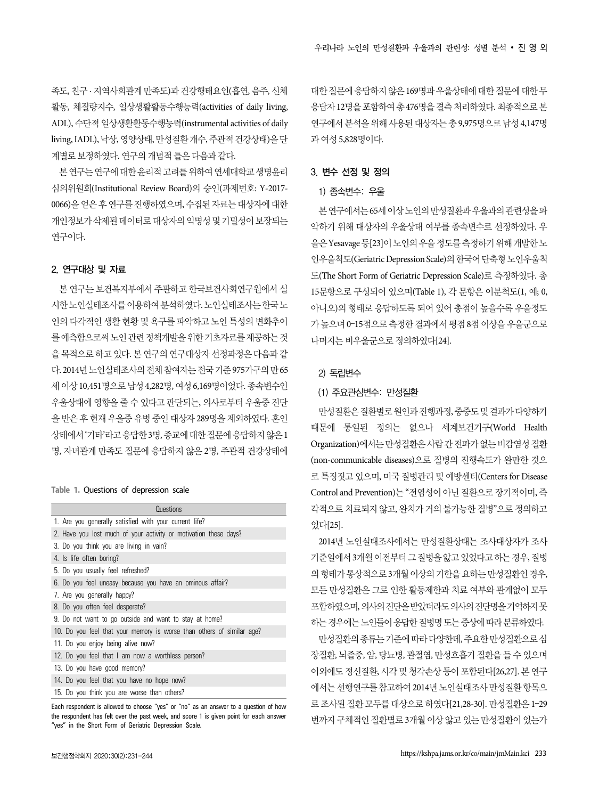족도, 친구 · 지역사회관계 만족도)과 건강행태요인(흡연, 음주, 신체 활동, 체질량지수, 일상생활활동수행능력(activities of daily living, ADL), 수단적 일상생활활동수행능력(instrumental activities of daily living, IADL), 낙상, 영양상태, 만성질환 개수, 주관적 건강상태)을 단 계별로 보정하였다. 연구의 개념적 틀은 다음과 같다.

본 연구는 연구에 대한 윤리적 고려를 위하여 연세대학교 생명윤리 심의위원회(Institutional Review Board)의 승인(과제번호: Y-2017- 0066)을 얻은 후 연구를 진행하였으며, 수집된 자료는 대상자에 대한 개인정보가 삭제된 데이터로 대상자의 익명성 및 기밀성이 보장되는 연구이다.

#### 2. 연구대상 및 자료

본 연구는 보건복지부에서 주관하고 한국보건사회연구원에서 실 시한 노인실태조사를 이용하여 분석하였다. 노인실태조사는 한국 노 인의 다각적인 생활 현황 및 욕구를 파악하고 노인 특성의 변화추이 를 예측함으로써 노인 관련 정책개발을 위한 기초자료를 제공하는 것 을 목적으로 하고 있다. 본 연구의 연구대상자 선정과정은 다음과 같 다. 2014년 노인실태조사의 전체 참여자는 전국 기준 975가구의 만 65 세 이상 10,451명으로 남성 4,282명, 여성 6,169명이었다. 종속변수인 우울상태에 영향을 줄 수 있다고 판단되는, 의사로부터 우울증 진단 을 반은 후 현재 우울증 유병 중인 대상자 289명을 제외하였다. 혼인 상태에서 '기타'라고 응답한 3명, 종교에 대한 질문에 응답하지 않은 1 명, 자녀관계 만족도 질문에 응답하지 않은 2명, 주관적 건강상태에

#### **Table 1.** Questions of depression scale

| 1. Are you generally satisfied with your current life?                |
|-----------------------------------------------------------------------|
| 2. Have you lost much of your activity or motivation these days?      |
| 3. Do you think you are living in vain?                               |
| 4. Is life often boring?                                              |
| 5. Do you usually feel refreshed?                                     |
| 6. Do you feel uneasy because you have an ominous affair?             |
| 7. Are you generally happy?                                           |
| 8. Do you often feel desperate?                                       |
| 9. Do not want to go outside and want to stay at home?                |
| 10. Do you feel that your memory is worse than others of similar age? |
| 11. Do you enjoy being alive now?                                     |
| 12. Do you feel that I am now a worthless person?                     |
| 13. Do you have good memory?                                          |
| 14. Do you feel that you have no hope now?                            |
| 15. Do you think you are worse than others?                           |

Each respondent is allowed to choose "yes" or "no" as an answer to a question of how the respondent has felt over the past week, and score 1 is given point for each answer "yes" in the Short Form of Geriatric Depression Scale.

대한 질문에 응답하지 않은 169명과 우울상태에 대한 질문에 대한 무 응답자 12명을 포함하여 총 476명을 결측 처리하였다. 최종적으로 본 연구에서 분석을 위해 사용된 대상자는 총 9,975명으로 남성 4,147명 과 여성 5,828명이다.

### 3. 변수 선정 및 정의

#### 1) 종속변수: 우울

본 연구에서는 65세 이상 노인의 만성질환과 우울과의 관련성을 파 악하기 위해 대상자의 우울상태 여부를 종속변수로 선정하였다. 우 울은 Yesavage 등[23]이 노인의 우울 정도를 측정하기 위해 개발한 노 인우울척도(Geriatric Depression Scale)의 한국어 단축형 노인우울척 도(The Short Form of Geriatric Depression Scale)로 측정하였다. 총 15문항으로 구성되어 있으며(Table 1), 각 문항은 이분척도(1, 예; 0, 아니오)의 형태로 응답하도록 되어 있어 총점이 높을수록 우울정도 가 높으며 0–15점으로 측정한 결과에서 평점 8점 이상을 우울군으로 나머지는 비우울군으로 정의하였다[24].

#### 2) 독립변수

# (1) 주요관심변수: 만성질환

만성질환은 질환별로 원인과 진행과정, 중증도 및 결과가 다양하기 때문에 통일된 정의는 없으나 세계보건기구(World Health Organization)에서는 만성질환은 사람 간 전파가 없는 비감염성 질환 (non-communicable diseases)으로 질병의 진행속도가 완만한 것으 로 특징짓고 있으며, 미국 질병관리 및 예방센터(Centers for Disease Control and Prevention)는 "전염성이 아닌 질환으로 장기적이며, 즉 각적으로 치료되지 않고, 완치가 거의 불가능한 질병"으로 정의하고 있다[25].

2014년 노인실태조사에서는 만성질환상태는 조사대상자가 조사 기준일에서 3개월 이전부터 그 질병을 앓고 있었다고 하는 경우, 질병 의 형태가 통상적으로 3개월 이상의 기한을 요하는 만성질환인 경우, 모든 만성질환은 그로 인한 활동제한과 치료 여부와 관계없이 모두 포함하였으며, 의사의 진단을 받았더라도 의사의 진단명을 기억하지 못 하는 경우에는 노인들이 응답한 질병명 또는 증상에 따라 분류하였다.

만성질환의 종류는 기준에 따라 다양한데, 주요한 만성질환으로 심 장질환, 뇌졸중, 암, 당뇨병, 관절염, 만성호흡기 질환을 들 수 있으며 이외에도 정신질환, 시각 및 청각손상 등이 포함된다[26,27]. 본 연구 에서는 선행연구를 참고하여 2014년 노인실태조사 만성질환 항목으 로 조사된 질환 모두를 대상으로 하였다[21,28-30]. 만성질환은 1–29 번까지 구체적인 질환별로 3개월 이상 앓고 있는 만성질환이 있는가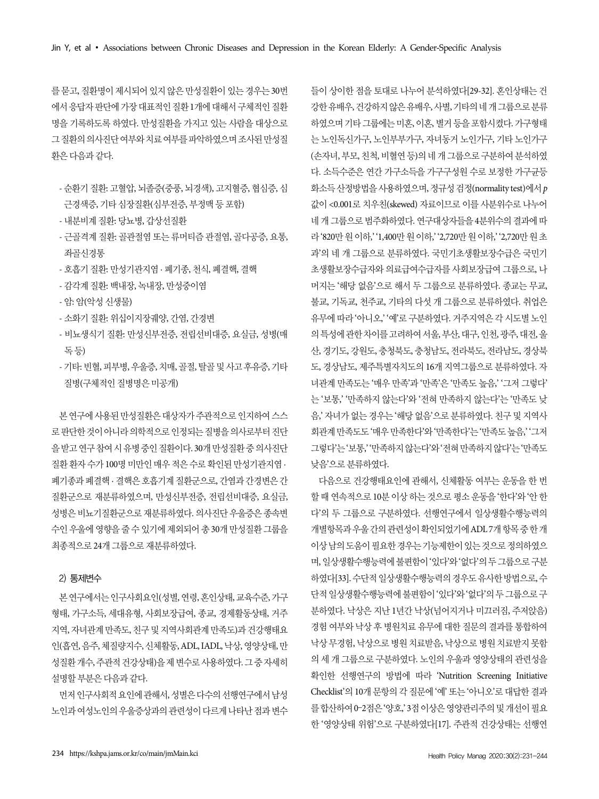를 묻고, 질환명이 제시되어 있지 않은 만성질환이 있는 경우는 30번 에서 응답자 판단에 가장 대표적인 질환 1개에 대해서 구체적인 질환 명을 기록하도록 하였다. 만성질환을 가지고 있는 사람을 대상으로 그 질환의 의사진단 여부와 치료 여부를 파악하였으며 조사된 만성질 환은 다음과 같다.

- 순환기 질환: 고혈압, 뇌졸증(중풍, 뇌경색), 고지혈증, 협심증, 심 근경색증, 기타 심장질환(심부전증, 부정맥 등 포함)
- 내분비계 질환: 당뇨병, 갑상선질환
- 근골격계 질환: 골관절염 또는 류머티즘 관절염, 골다공증, 요통, 좌골신경통
- 호흡기 질환: 만성기관지염 · 폐기종, 천식, 폐결핵, 결핵
- 감각계 질환: 백내장, 녹내장, 만성중이염
- 암: 암(악성 신생물)
- 소화기 질환: 위십이지장궤양, 간염, 간경변
- 비뇨생식기 질환: 만성신부전증, 전립선비대증, 요실금, 성병(매 독 등)
- 기타: 빈혈, 피부병, 우울증, 치매, 골절, 탈골 및 사고 후유증, 기타 질병(구체적인 질병명은 미공개)

본 연구에 사용된 만성질환은 대상자가 주관적으로 인지하여 스스 로 판단한 것이 아니라 의학적으로 인정되는 질병을 의사로부터 진단 을 받고 연구 참여 시 유병 중인 질환이다. 30개 만성질환 중 의사진단 질환 환자 수가 100명 미만인 매우 적은 수로 확인된 만성기관지염 · 폐기종과 폐결핵 · 결핵은 호흡기계 질환군으로, 간염과 간경변은 간 질환군으로 재분류하였으며, 만성신부전증, 전립선비대증, 요실금, 성병은 비뇨기질환군으로 재분류하였다. 의사진단 우울증은 종속변 수인 우울에 영향을 줄 수 있기에 제외되어 총 30개 만성질환 그룹을 최종적으로 24개 그룹으로 재분류하였다.

#### 2) 통제변수

본 연구에서는 인구사회요인(성별, 연령, 혼인상태, 교육수준, 가구 형태, 가구소득, 세대유형, 사회보장급여, 종교, 경제활동상태, 거주 지역, 자녀관계 만족도, 친구 및 지역사회관계 만족도)과 건강행태요 인(흡연, 음주, 체질량지수, 신체활동, ADL, IADL, 낙상, 영양상태, 만 성질환 개수, 주관적 건강상태)을 제 변수로 사용하였다. 그 중 자세히 설명할 부분은 다음과 같다.

먼저 인구사회적 요인에 관해서, 성별은 다수의 선행연구에서 남성 노인과 여성노인의 우울증상과의 관련성이 다르게 나타난 점과 변수 들이 상이한 점을 토대로 나누어 분석하였다[29-32]. 혼인상태는 건 강한 유배우, 건강하지 않은 유배우, 사별, 기타의 네 개 그룹으로 분류 하였으며 기타 그룹에는 미혼, 이혼, 별거 등을 포함시켰다. 가구형태 는 노인독신가구, 노인부부가구, 자녀동거 노인가구, 기타 노인가구 (손자녀, 부모, 친척, 비혈연 등)의 네 개 그룹으로 구분하여 분석하였 다. 소득수준은 연간 가구소득을 가구구성원 수로 보정한 가구균등 화소득 산정방법을 사용하였으며, 정규성 검정(normality test)에서 p 값이 <0.001로 치우친(skewed) 자료이므로 이를 사분위수로 나누어 네 개 그룹으로 범주화하였다. 연구대상자들을 4분위수의 결과에 따 라 '820만 원 이하,' '1,400만 원 이하,' '2,720만 원 이하,' '2,720만 원 초 과'의 네 개 그룹으로 분류하였다. 국민기초생활보장수급은 국민기 초생활보장수급자와 의료급여수급자를 사회보장급여 그룹으로, 나 머지는 '해당 없음'으로 해서 두 그룹으로 분류하였다. 종교는 무교, 불교, 기독교, 천주교, 기타의 다섯 개 그룹으로 분류하였다. 취업은 유무에 따라 '아니오,' '예'로 구분하였다. 거주지역은 각 시도별 노인 의 특성에 관한 차이를 고려하여 서울, 부산, 대구, 인천, 광주, 대전, 울 산, 경기도, 강원도, 충청북도, 충청남도, 전라북도, 전라남도, 경상북 도, 경상남도, 제주특별자치도의 16개 지역그룹으로 분류하였다. 자 녀관계 만족도는 '매우 만족'과 '만족'은 '만족도 높음,' '그저 그렇다' 는 '보통,' '만족하지 않는다'와 '전혀 만족하지 않는다'는 '만족도 낮 음,' 자녀가 없는 경우는 '해당 없음'으로 분류하였다. 친구 및 지역사 회관계 만족도도 '매우 만족한다'와 '만족한다'는 '만족도 높음,' '그저 그렇다'는 '보통,' '만족하지 않는다'와 '전혀 만족하지 않다'는 '만족도 낮음'으로 분류하였다.

다음으로 건강행태요인에 관해서, 신체활동 여부는 운동을 한 번 할 때 연속적으로 10분 이상 하는 것으로 평소 운동을 '한다'와 '안 한 다'의 두 그룹으로 구분하였다. 선행연구에서 일상생활수행능력의 개별항목과 우울 간의 관련성이 확인되었기에 ADL 7개 항목 중 한 개 이상 남의 도움이 필요한 경우는 기능제한이 있는 것으로 정의하였으 며, 일상생활수행능력에 불편함이 '있다'와 '없다'의 두 그룹으로 구분 하였다[33]. 수단적 일상생활수행능력의 경우도 유사한 방법으로, 수 단적 일상생활수행능력에 불편함이 '있다'와 '없다'의 두 그룹으로 구 분하였다. 낙상은 지난 1년간 낙상(넘어지거나 미끄러짐, 주저앉음) 경험 여부와 낙상 후 병원치료 유무에 대한 질문의 결과를 통합하여 낙상 무경험, 낙상으로 병원 치료받음, 낙상으로 병원 치료받지 못함 의 세 개 그룹으로 구분하였다. 노인의 우울과 영양상태의 관련성을 확인한 선행연구의 방법에 따라 'Nutrition Screening Initiative Checklist'의 10개 문항의 각 질문에 '예' 또는 '아니오'로 대답한 결과 를 합산하여 0–2점은 '양호,' 3점 이상은 영양관리주의 및 개선이 필요 한 '영양상태 위험'으로 구분하였다[17]. 주관적 건강상태는 선행연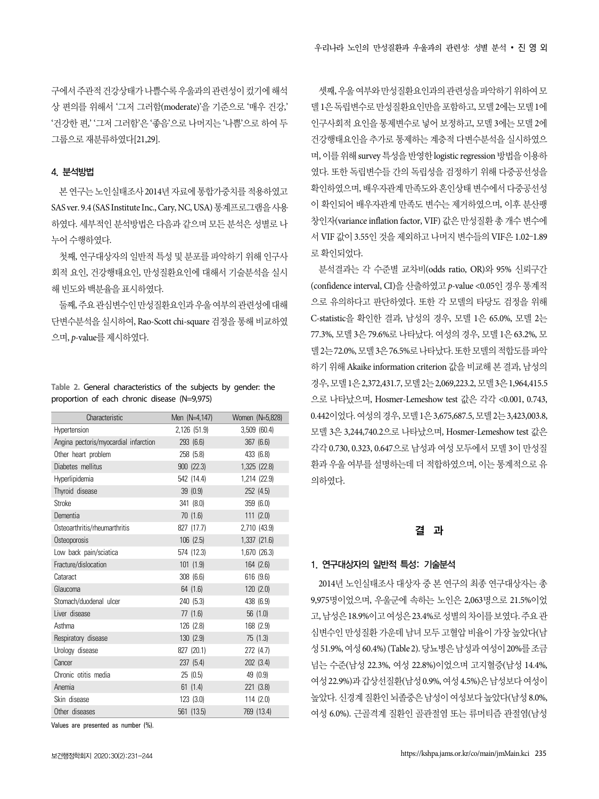구에서 주관적 건강상태가 나쁠수록 우울과의 관련성이 컸기에 해석 상 편의를 위해서 '그저 그러함(moderate)'을 기준으로 '매우 건강,' '건강한 편,' '그저 그러함'은 '좋음'으로 나머지는 '나쁨'으로 하여 두 그룹으로 재분류하였다[21,29].

#### 4. 분석방법

본 연구는 노인실태조사 2014년 자료에 통합가중치를 적용하였고 SAS ver. 9.4 (SAS Institute Inc., Cary, NC, USA) 통계프로그램을 사용 하였다. 세부적인 분석방법은 다음과 같으며 모든 분석은 성별로 나 누어 수행하였다.

첫째, 연구대상자의 일반적 특성 및 분포를 파악하기 위해 인구사 회적 요인, 건강행태요인, 만성질환요인에 대해서 기술분석을 실시 해 빈도와 백분율을 표시하였다.

둘째, 주요 관심변수인 만성질환요인과 우울 여부의 관련성에 대해 단변수분석을 실시하여, Rao-Scott chi-square 검정을 통해 비교하였 으며, p-value를 제시하였다.

**Table 2.** General characteristics of the subjects by gender: the proportion of each chronic disease (N=9,975)

| Characteristic                        | Men (N=4,147) | Women (N=5,828) |
|---------------------------------------|---------------|-----------------|
| Hypertension                          | 2,126 (51.9)  | 3,509 (60.4)    |
| Angina pectoris/myocardial infarction | 293 (6.6)     | 367 (6.6)       |
| Other heart problem                   | 258 (5.8)     | 433 (6.8)       |
| Diabetes mellitus                     | 900 (22.3)    | 1,325 (22.8)    |
| Hyperlipidemia                        | 542 (14.4)    | 1,214 (22.9)    |
| Thyroid disease                       | 39 (0.9)      | 252 (4.5)       |
| Stroke                                | 341 (8.0)     | 359 (6.0)       |
| Dementia                              | 70 (1.6)      | 111(2.0)        |
| Osteoarthritis/rheumarthritis         | 827 (17.7)    | 2,710 (43.9)    |
| Osteoporosis                          | 106(2.5)      | 1,337 (21.6)    |
| Low back pain/sciatica                | 574 (12.3)    | 1,670 (26.3)    |
| Fracture/dislocation                  | 101 (1.9)     | 164 (2.6)       |
| Cataract                              | 308 (6.6)     | 616 (9.6)       |
| Glaucoma                              | 64(1.6)       | 120(2.0)        |
| Stomach/duodenal ulcer                | 240 (5.3)     | 438 (6.9)       |
| Liver disease                         | 77(1.6)       | 56(1.0)         |
| Asthma                                | 126 (2.8)     | 168 (2.9)       |
| Respiratory disease                   | 130 (2.9)     | 75(1.3)         |
| Urology disease                       | 827 (20.1)    | 272 (4.7)       |
| Cancer                                | 237 (5.4)     | 202 (3.4)       |
| Chronic otitis media                  | 25 (0.5)      | 49 (0.9)        |
| Anemia                                | 61(1.4)       | 221 (3.8)       |
| Skin disease                          | 123 (3.0)     | 114(2.0)        |
| Other diseases                        | 561 (13.5)    | 769 (13.4)      |

Values are presented as number (%).

셋째, 우울 여부와 만성질환요인과의 관련성을 파악하기 위하여 모 델 1은 독립변수로 만성질환요인만을 포함하고, 모델 2에는 모델 1에 인구사회적 요인을 통제변수로 넣어 보정하고, 모델 3에는 모델 2에 건강행태요인을 추가로 통제하는 계층적 다변수분석을 실시하였으 며, 이를 위해 survey 특성을 반영한 logistic regression 방법을 이용하 였다. 또한 독립변수들 간의 독립성을 검정하기 위해 다중공선성을 확인하였으며, 배우자관계 만족도와 혼인상태 변수에서 다중공선성 이 확인되어 배우자관계 만족도 변수는 제거하였으며, 이후 분산팽 창인자(variance inflation factor, VIF) 값은 만성질환 총 개수 변수에 서 VIF 값이 3.55인 것을 제외하고 나머지 변수들의 VIF은 1.02–1.89 로 확인되었다.

분석결과는 각 수준별 교차비(odds ratio, OR)와 95% 신뢰구간 (confidence interval, CI)을 산출하였고 p-value <0.05인 경우 통계적 으로 유의하다고 판단하였다. 또한 각 모델의 타당도 검정을 위해 C-statistic을 확인한 결과, 남성의 경우, 모델 1은 65.0%, 모델 2는 77.3%, 모델 3은 79.6%로 나타났다. 여성의 경우, 모델 1은 63.2%, 모 델 2는 72.0%, 모델 3은 76.5%로 나타났다. 또한 모델의 적합도를 파악 하기 위해 Akaike information criterion 값을 비교해 본 결과, 남성의 경우, 모델 1은 2,372,431.7, 모델 2는 2,069,223.2, 모델 3은 1,964,415.5 으로 나타났으며, Hosmer-Lemeshow test 값은 각각 <0.001, 0.743, 0.442이었다. 여성의 경우, 모델 1은 3,675,687.5, 모델 2는 3,423,003.8, 모델 3은 3,244,740.2으로 나타났으며, Hosmer-Lemeshow test 값은 각각 0.730, 0.323, 0.647으로 남성과 여성 모두에서 모델 3이 만성질 환과 우울 여부를 설명하는데 더 적합하였으며, 이는 통계적으로 유 의하였다.

#### 결 과

#### 1. 연구대상자의 일반적 특성: 기술분석

2014년 노인실태조사 대상자 중 본 연구의 최종 연구대상자는 총 9,975명이었으며, 우울군에 속하는 노인은 2,063명으로 21.5%이었 고, 남성은 18.9%이고 여성은 23.4%로 성별의 차이를 보였다. 주요 관 심변수인 만성질환 가운데 남녀 모두 고혈압 비율이 가장 높았다(남 성 51.9%, 여성 60.4%) (Table 2). 당뇨병은 남성과 여성이 20%를 조금 넘는 수준(남성 22.3%, 여성 22.8%)이었으며 고지혈증(남성 14.4%, 여성 22.9%)과 갑상선질환(남성 0.9%, 여성 4.5%)은 남성보다 여성이 높았다. 신경계 질환인 뇌졸중은 남성이 여성보다 높았다(남성 8.0%, 여성 6.0%). 근골격계 질환인 골관절염 또는 류머티즘 관절염(남성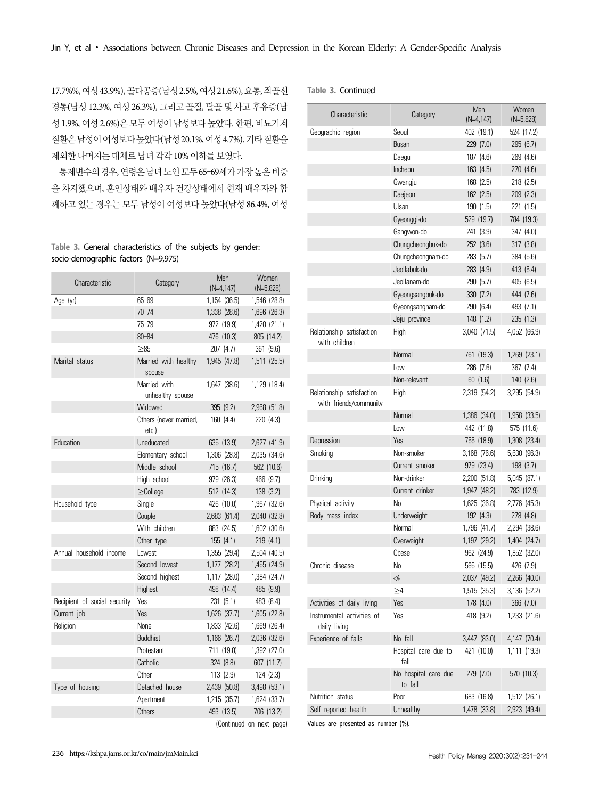17.7%%, 여성 43.9%), 골다공증(남성 2.5%, 여성 21.6%), 요통, 좌골신 경통(남성 12.3%, 여성 26.3%), 그리고 골절, 탈골 및 사고 후유증(남 성 1.9%, 여성 2.6%)은 모두 여성이 남성보다 높았다. 한편, 비뇨기계 질환은 남성이 여성보다 높았다(남성 20.1%, 여성 4.7%). 기타 질환을 제외한 나머지는 대체로 남녀 각각 10% 이하를 보였다.

통제변수의 경우, 연령은 남녀 노인 모두 65–69세가 가장 높은 비중 을 차지했으며, 혼인상태와 배우자 건강상태에서 현재 배우자와 함 께하고 있는 경우는 모두 남성이 여성보다 높았다(남성 86.4%, 여성

**Table 3.** General characteristics of the subjects by gender: socio-demographic factors (N=9,975)

| Characteristic               | Category                         | Men<br>$(N=4, 147)$ | Women<br>$(N=5,828)$    |
|------------------------------|----------------------------------|---------------------|-------------------------|
| Age (yr)                     | $65 - 69$                        | 1,154 (36.5)        | 1,546 (28.8)            |
|                              | $70 - 74$                        | 1,338 (28.6)        | 1,696 (26.3)            |
|                              | $75 - 79$                        | 972 (19.9)          | 1,420 (21.1)            |
|                              | $80 - 84$                        | 476 (10.3)          | 805 (14.2)              |
|                              | $\geq 85$                        | 207 (4.7)           | 361 (9.6)               |
| Marital status               | Married with healthy<br>spouse   | 1,945 (47.8)        | 1,511 (25.5)            |
|                              | Married with<br>unhealthy spouse | 1,647 (38.6)        | 1,129 (18.4)            |
|                              | Widowed                          | 395 (9.2)           | 2,968 (51.8)            |
|                              | Others (never married.<br>etc.)  | 160 (4.4)           | 220 (4.3)               |
| Education                    | Uneducated                       | 635 (13.9)          | 2,627 (41.9)            |
|                              | Elementary school                | 1,306 (28.8)        | 2,035 (34.6)            |
|                              | Middle school                    | 715 (16.7)          | 562 (10.6)              |
|                              | High school                      | 979 (26.3)          | 466 (9.7)               |
|                              | $\geq$ College                   | 512 (14.3)          | 138(3.2)                |
| Household type               | Single                           | 426 (10.0)          | 1,967 (32.6)            |
|                              | Couple                           | 2,683 (61.4)        | 2,040 (32.8)            |
|                              | With children                    | 883 (24.5)          | 1,602 (30.6)            |
|                              | Other type                       | 155(4.1)            | 219(4.1)                |
| Annual household income      | Lowest                           | 1,355 (29.4)        | 2,504 (40.5)            |
|                              | Second lowest                    | 1,177 (28.2)        | 1,455 (24.9)            |
|                              | Second highest                   | 1,117 (28.0)        | 1,384 (24.7)            |
|                              | Highest                          | 498 (14.4)          | 485 (9.9)               |
| Recipient of social security | Yes                              | 231 (5.1)           | 483 (8.4)               |
| Current job                  | <b>Yes</b>                       | 1,626 (37.7)        | 1,605 (22.8)            |
| Religion                     | None                             | 1,833 (42.6)        | 1,669 (26.4)            |
|                              | <b>Buddhist</b>                  | 1,166 (26.7)        | 2,036 (32.6)            |
|                              | Protestant                       | 711 (19.0)          | 1,392 (27.0)            |
|                              | Catholic                         | 324 (8.8)           | 607 (11.7)              |
|                              | Other                            | 113 (2.9)           | 124 (2.3)               |
| Type of housing              | Detached house                   | 2,439 (50.8)        | 3,498 (53.1)            |
|                              | Apartment                        | 1,215 (35.7)        | 1,624 (33.7)            |
|                              | Others                           | 493 (13.5)          | 706 (13.2)              |
|                              |                                  |                     | Continued on novt nagel |

| Table 3. Continued |  |
|--------------------|--|
|--------------------|--|

| Characteristic                                      | Category                        | Men<br>$(N=4, 147)$ | Women<br>$(N=5,828)$ |
|-----------------------------------------------------|---------------------------------|---------------------|----------------------|
| Geographic region                                   | Seoul                           | 402 (19.1)          | 524 (17.2)           |
|                                                     | <b>Busan</b>                    | 229 (7.0)           | 295 (6.7)            |
|                                                     | Daegu                           | 187 (4.6)           | 269 (4.6)            |
|                                                     | Incheon                         | 163 (4.5)           | 270 (4.6)            |
|                                                     | Gwangju                         | 168 (2.5)           | 218 (2.5)            |
|                                                     | Daejeon                         | 162 (2.5)           | 209 (2.3)            |
|                                                     | Ulsan                           | 190 (1.5)           | 221 (1.5)            |
|                                                     | Gyeonggi-do                     | 529 (19.7)          | 784 (19.3)           |
|                                                     | Gangwon-do                      | 241 (3.9)           | 347 (4.0)            |
|                                                     | Chungcheongbuk-do               | 252 (3.6)           | 317 (3.8)            |
|                                                     | Chungcheongnam-do               | 283 (5.7)           | 384 (5.6)            |
|                                                     | Jeollabuk-do                    | 283 (4.9)           | 413 (5.4)            |
|                                                     | Jeollanam-do                    | 290 (5.7)           | 405 (6.5)            |
|                                                     | Gyeongsangbuk-do                | 330 (7.2)           | 444 (7.6)            |
|                                                     | Gyeongsangnam-do                | 290 (6.4)           | 493 (7.1)            |
|                                                     | Jeju province                   | 148 (1.2)           | 235(1.3)             |
| Relationship satisfaction<br>with children          | High                            | 3,040 (71.5)        | 4,052 (66.9)         |
|                                                     | Normal                          | 761 (19.3)          | 1,269 (23.1)         |
|                                                     | Low                             | 286 (7.6)           | 367 (7.4)            |
|                                                     | Non-relevant                    | 60(1.6)             | 140 (2.6)            |
| Relationship satisfaction<br>with friends/community | High                            | 2,319 (54.2)        | 3,295 (54.9)         |
|                                                     | Normal                          | 1,386 (34.0)        | 1,958 (33.5)         |
|                                                     | Low                             | 442 (11.8)          | 575 (11.6)           |
| Depression                                          | Yes                             | 755 (18.9)          | 1,308 (23.4)         |
| Smoking                                             | Non-smoker                      | 3,168 (76.6)        | 5,630 (96.3)         |
|                                                     | Current smoker                  | 979 (23.4)          | 198 (3.7)            |
| Drinking                                            | Non-drinker                     | 2,200 (51.8)        | 5,045 (87.1)         |
|                                                     | Current drinker                 | 1,947 (48.2)        | 783 (12.9)           |
| Physical activity                                   | No                              | 1,625 (36.8)        | 2,776 (45.3)         |
| Body mass index                                     | Underweight                     | 192 (4.3)           | 278 (4.8)            |
|                                                     | Normal                          | 1,796 (41.7)        | 2,294 (38.6)         |
|                                                     | Overweight                      | 1,197 (29.2)        | 1,404 (24.7)         |
|                                                     | Obese                           | 962 (24.9)          | 1,852 (32.0)         |
| Chronic disease                                     | No                              | 595 (15.5)          | 426 (7.9)            |
|                                                     | $\langle 4$                     | 2,037 (49.2)        | 2,266 (40.0)         |
|                                                     | ≥4                              | 1,515 (35.3)        | 3,136 (52.2)         |
| Activities of daily living                          | Yes                             | 178 (4.0)           | 366 (7.0)            |
| Instrumental activities of<br>daily living          | Yes                             | 418 (9.2)           | 1,233 (21.6)         |
| Experience of falls                                 | No fall                         | 3,447 (83.0)        | 4,147 (70.4)         |
|                                                     | Hospital care due to<br>fall    | 421 (10.0)          | 1,111 (19.3)         |
|                                                     | No hospital care due<br>to fall | 279 (7.0)           | 570 (10.3)           |
| Nutrition status                                    | Poor                            | 683 (16.8)          | 1,512 (26.1)         |
| Self reported health                                | Unhealthy                       | 1,478 (33.8)        | 2,923 (49.4)         |

(Continued on next page)

Values are presented as number (%).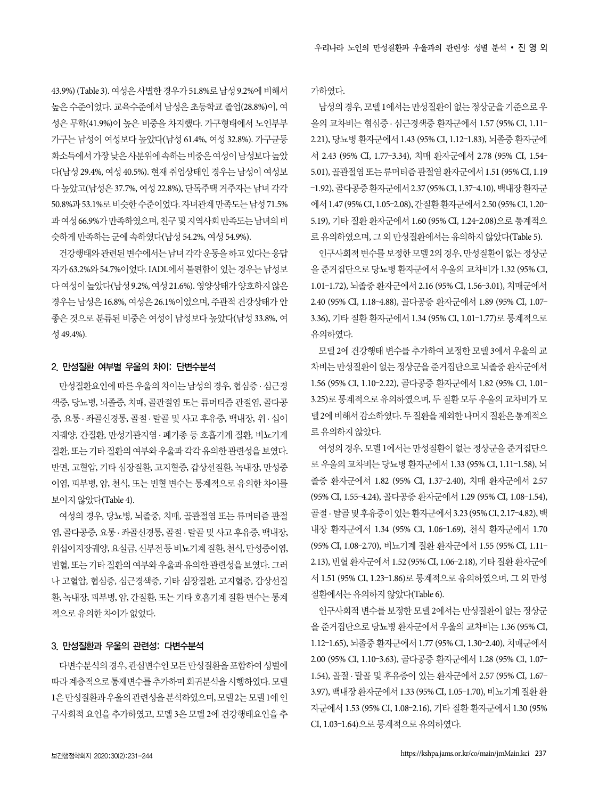43.9%) (Table 3). 여성은 사별한 경우가 51.8%로 남성 9.2%에 비해서 높은 수준이었다. 교육수준에서 남성은 초등학교 졸업(28.8%)이, 여 성은 무학(41.9%)이 높은 비중을 차지했다. 가구형태에서 노인부부 가구는 남성이 여성보다 높았다(남성 61.4%, 여성 32.8%). 가구균등 화소득에서 가장 낮은 사분위에 속하는 비중은 여성이 남성보다 높았 다(남성 29.4%, 여성 40.5%). 현재 취업상태인 경우는 남성이 여성보 다 높았고(남성은 37.7%, 여성 22.8%), 단독주택 거주자는 남녀 각각 50.8%과 53.1%로 비슷한 수준이었다. 자녀관계 만족도는 남성 71.5% 과 여성 66.9%가 만족하였으며, 친구 및 지역사회 만족도는 남녀의 비 슷하게 만족하는 군에 속하였다(남성 54.2%, 여성 54.9%).

건강행태와 관련된 변수에서는 남녀 각각 운동을 하고 있다는 응답 자가 63.2%와 54.7%이었다. IADL에서 불편함이 있는 경우는 남성보 다 여성이 높았다(남성 9.2%, 여성 21.6%). 영양상태가 양호하지 않은 경우는 남성은 16.8%, 여성은 26.1%이었으며, 주관적 건강상태가 안 좋은 것으로 분류된 비중은 여성이 남성보다 높았다(남성 33.8%, 여 성 49.4%).

#### 2. 만성질환 여부별 우울의 차이: 단변수분석

만성질환요인에 따른 우울의 차이는 남성의 경우, 협심증 · 심근경 색증, 당뇨병, 뇌졸중, 치매, 골관절염 또는 류머티즘 관절염, 골다공 증, 요통 · 좌골신경통, 골절 · 탈골 및 사고 후유증, 백내장, 위 · 십이 지궤양, 간질환, 만성기관지염 · 폐기종 등 호흡기계 질환, 비뇨기계 질환, 또는 기타 질환의 여부와 우울과 각각 유의한 관련성을 보였다. 반면, 고혈압, 기타 심장질환, 고지혈증, 갑상선질환, 녹내장, 만성중 이염, 피부병, 암, 천식, 또는 빈혈 변수는 통계적으로 유의한 차이를 보이지 않았다(Table 4).

여성의 경우, 당뇨병, 뇌졸중, 치매, 골관절염 또는 류머티즘 관절 염, 골다공증, 요통 · 좌골신경통, 골절 · 탈골 및 사고 후유증, 백내장, 위십이지장궤양, 요실금, 신부전 등 비뇨기계 질환, 천식, 만성중이염, 빈혈, 또는 기타 질환의 여부와 우울과 유의한 관련성을 보였다. 그러 나 고혈압, 협심증, 심근경색증, 기타 심장질환, 고지혈증, 갑상선질 환, 녹내장, 피부병, 암, 간질환, 또는 기타 호흡기계 질환 변수는 통계 적으로 유의한 차이가 없었다.

#### 3. 만성질환과 우울의 관련성: 다변수분석

다변수분석의 경우, 관심변수인 모든 만성질환을 포함하여 성별에 따라 계층적으로 통제변수를 추가하며 회귀분석을 시행하였다. 모델 1은 만성질환과 우울의 관련성을 분석하였으며, 모델 2는 모델 1에 인 구사회적 요인을 추가하였고, 모델 3은 모델 2에 건강행태요인을 추 가하였다.

남성의 경우, 모델 1에서는 만성질환이 없는 정상군을 기준으로 우 울의 교차비는 협심증 · 심근경색증 환자군에서 1.57 (95% CI, 1.11– 2.21), 당뇨병 환자군에서 1.43 (95% CI, 1.12–1.83), 뇌졸중 환자군에 서 2.43 (95% CI, 1.77–3.34), 치매 환자군에서 2.78 (95% CI, 1.54– 5.01), 골관절염 또는 류머티즘 관절염 환자군에서 1.51 (95% CI, 1.19 –1.92), 골다공증 환자군에서 2.37 (95% CI, 1.37–4.10), 백내장 환자군 에서 1.47 (95% CI, 1.05–2.08), 간질환 환자군에서 2.50 (95% CI, 1.20– 5.19), 기타 질환 환자군에서 1.60 (95% CI, 1.24–2.08)으로 통계적으 로 유의하였으며, 그 외 만성질환에서는 유의하지 않았다(Table 5).

인구사회적 변수를 보정한 모델 2의 경우, 만성질환이 없는 정상군 을 준거집단으로 당뇨병 환자군에서 우울의 교차비가 1.32 (95% CI, 1.01–1.72), 뇌졸중 환자군에서 2.16 (95% CI, 1.56–3.01), 치매군에서 2.40 (95% CI, 1.18–4.88), 골다공증 환자군에서 1.89 (95% CI, 1.07– 3.36), 기타 질환 환자군에서 1.34 (95% CI, 1.01–1.77)로 통계적으로 유의하였다.

모델 2에 건강행태 변수를 추가하여 보정한 모델 3에서 우울의 교 차비는 만성질환이 없는 정상군을 준거집단으로 뇌졸중 환자군에서 1.56 (95% CI, 1.10–2.22), 골다공증 환자군에서 1.82 (95% CI, 1.01– 3.25)로 통계적으로 유의하였으며, 두 질환 모두 우울의 교차비가 모 델 2에 비해서 감소하였다. 두 질환을 제외한 나머지 질환은 통계적으 로 유의하지 않았다.

여성의 경우, 모델 1에서는 만성질환이 없는 정상군을 준거집단으 로 우울의 교차비는 당뇨병 환자군에서 1.33 (95% CI, 1.11–1.58), 뇌 졸중 환자군에서 1.82 (95% CI, 1.37–2.40), 치매 환자군에서 2.57 (95% CI, 1.55–4.24), 골다공증 환자군에서 1.29 (95% CI, 1.08–1.54), 골절 · 탈골 및 후유증이 있는 환자군에서 3.23 (95% CI, 2.17–4.82), 백 내장 환자군에서 1.34 (95% CI, 1.06–1.69), 천식 환자군에서 1.70 (95% CI, 1.08–2.70), 비뇨기계 질환 환자군에서 1.55 (95% CI, 1.11– 2.13), 빈혈 환자군에서 1.52 (95% CI, 1.06–2.18), 기타 질환 환자군에 서 1.51 (95% CI, 1.23–1.86)로 통계적으로 유의하였으며, 그 외 만성 질환에서는 유의하지 않았다(Table 6).

인구사회적 변수를 보정한 모델 2에서는 만성질환이 없는 정상군 을 준거집단으로 당뇨병 환자군에서 우울의 교차비는 1.36 (95% CI, 1.12–1.65), 뇌졸중 환자군에서 1.77 (95% CI, 1.30–2.40), 치매군에서 2.00 (95% CI, 1.10–3.63), 골다공증 환자군에서 1.28 (95% CI, 1.07– 1.54), 골절 · 탈골 및 후유증이 있는 환자군에서 2.57 (95% CI, 1.67– 3.97), 백내장 환자군에서 1.33 (95% CI, 1.05–1.70), 비뇨기계 질환 환 자군에서 1.53 (95% CI, 1.08–2.16), 기타 질환 환자군에서 1.30 (95% CI, 1.03–1.64)으로 통계적으로 유의하였다.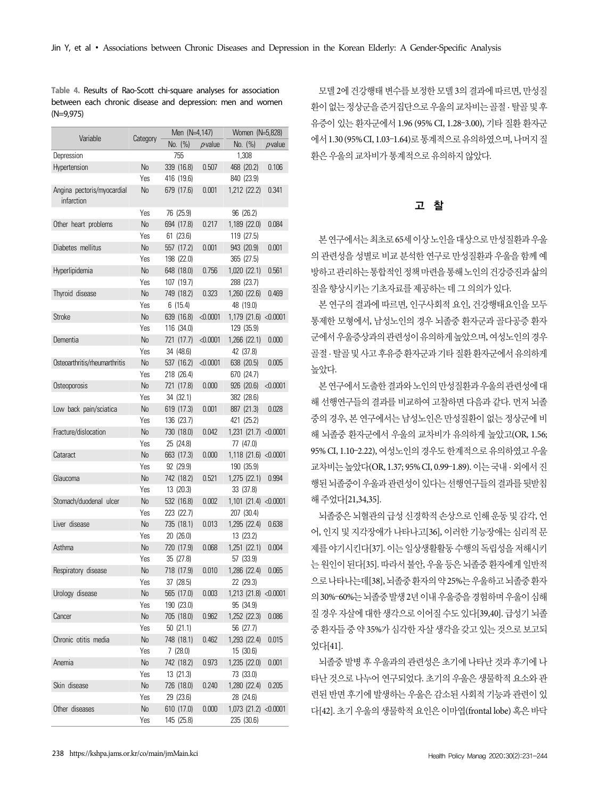**Table 4.** Results of Rao-Scott chi-square analyses for association between each chronic disease and depression: men and women (N=9,975)

| Variable                                 | Category       | Men (N=4,147) |              | Women (N=5.828)       |               |
|------------------------------------------|----------------|---------------|--------------|-----------------------|---------------|
|                                          |                | No. (%)       | $\rho$ value | No. (%)               | $\rho$ -value |
| Depression                               |                | 755           |              | 1,308                 |               |
| Hypertension                             | No             | 339 (16.8)    | 0.507        | 468 (20.2)            | 0.106         |
|                                          | Yes            | 416 (19.6)    |              | 840 (23.9)            |               |
| Angina pectoris/myocardial<br>infarction | No             | 679 (17.6)    | 0.001        | 1,212 (22.2)          | 0.341         |
|                                          | Yes            | 76 (25.9)     |              | 96 (26.2)             |               |
| Other heart problems                     | No             | 694 (17.8)    | 0.217        | 1,189 (22.0)          | 0.084         |
|                                          | Yes            | 61 (23.6)     |              | 119 (27.5)            |               |
| Diabetes mellitus                        | N <sub>0</sub> | 557 (17.2)    | 0.001        | 943 (20.9)            | 0.001         |
|                                          | Yes            | 198 (22.0)    |              | 365 (27.5)            |               |
| Hyperlipidemia                           | No             | 648 (18.0)    | 0.756        | 1,020 (22.1)          | 0.561         |
|                                          | Yes            | 107 (19.7)    |              | 288 (23.7)            |               |
| Thyroid disease                          | No             | 749 (18.2)    | 0.323        | 1,260 (22.6)          | 0.469         |
|                                          | Yes            | 6(15.4)       |              | 48 (19.0)             |               |
| Stroke                                   | N <sub>0</sub> | 639 (16.8)    | < 0.0001     | 1,179 (21.6)          | < 0.0001      |
|                                          | Yes            | 116 (34.0)    |              | 129 (35.9)            |               |
| Dementia                                 | No             | 721 (17.7)    | < 0.0001     | $1,266$ $(22.1)$      | 0.000         |
|                                          | Yes            | 34 (48.6)     |              | 42 (37.8)             |               |
| Osteoarthritis/rheumarthritis            | No             | 537 (16.2)    | < 0.0001     | 638 (20.5)            | 0.005         |
|                                          | Yes            | 218 (26.4)    |              | 670 (24.7)            |               |
| Osteoporosis                             | No             | 721 (17.8)    | 0.000        | 926 (20.6)            | < 0.0001      |
|                                          | Yes            | 34 (32.1)     |              | 382 (28.6)            |               |
| Low back pain/sciatica                   | No             | 619 (17.3)    | 0.001        | 887 (21.3)            | 0.028         |
|                                          | Yes            | 136 (23.7)    |              | 421 (25.2)            |               |
| Fracture/dislocation                     | No             | 730 (18.0)    | 0.042        | 1,231 (21.7) < 0.0001 |               |
|                                          | Yes            | 25 (24.8)     |              | 77 (47.0)             |               |
| Cataract                                 | No             | 663 (17.3)    | 0.000        | 1,118 (21.6)          | < 0.0001      |
|                                          | Yes            | 92 (29.9)     |              | 190 (35.9)            |               |
| Glaucoma                                 | No             | 742 (18.2)    | 0.521        | 1,275 (22.1)          | 0.994         |
|                                          | Yes            | 13 (20.3)     |              | 33 (37.8)             |               |
| Stomach/duodenal ulcer                   | No             | 532 (16.8)    | 0.002        | $1,101$ $(21.4)$      | < 0.0001      |
|                                          | Yes            | 223 (22.7)    |              | 207 (30.4)            |               |
| Liver disease                            | No             | 735 (18.1)    | 0.013        | 1,295 (22.4)          | 0.638         |
|                                          | Yes            | 20 (26.0)     |              | 13 (23.2)             |               |
| Asthma                                   | No             | 720 (17.9)    | 0.068        | 1,251 (22.1)          | 0.004         |
|                                          | Yes            | 35 (27.8)     |              | 57 (33.9)             |               |
| Respiratory disease                      | No             | 718 (17.9)    | 0.010        | 1,286 (22.4)          | 0.065         |
|                                          | Yes            | 37 (28.5)     |              | 22 (29.3)             |               |
| Urology disease                          | No             | 565 (17.0)    | 0.003        | 1,213 (21.8)          | < 0.0001      |
|                                          | Yes            | 190 (23.0)    |              | 95 (34.9)             |               |
| Cancer                                   | No             | 705 (18.0)    | 0.962        | 1,252 (22.3)          | 0.086         |
|                                          | Yes            | 50(21.1)      |              |                       |               |
| Chronic otitis media                     | No             |               | 0.462        | 56 (27.7)             |               |
|                                          |                | 748 (18.1)    |              | 1,293 (22.4)          | 0.015         |
|                                          | Yes            | 7(28.0)       |              | 15 (30.6)             |               |
| Anemia                                   | No             | 742 (18.2)    | 0.973        | 1,235 (22.0)          | 0.001         |
|                                          | Yes            | 13 (21.3)     |              | 73 (33.0)             |               |
| Skin disease                             | No             | 726 (18.0)    | 0.240        | 1,280 (22.4)          | 0.205         |
|                                          | Yes            | 29 (23.6)     |              | 28 (24.6)             |               |
| Other diseases                           | No             | 610 (17.0)    | 0.000        | 1,073 (21.2)          | < 0.0001      |
|                                          | Yes            | 145 (25.8)    |              | 235 (30.6)            |               |

모델 2에 건강행태 변수를 보정한 모델 3의 결과에 따르면, 만성질 환이 없는 정상군을 준거집단으로 우울의 교차비는 골절 · 탈골 및 후 유증이 있는 환자군에서 1.96 (95% CI, 1.28–3.00), 기타 질환 환자군 에서 1.30 (95% CI, 1.03–1.64)로 통계적으로 유의하였으며, 나머지 질 환은 우울의 교차비가 통계적으로 유의하지 않았다.

# 고 찰

본 연구에서는 최초로 65세 이상 노인을 대상으로 만성질환과 우울 의 관련성을 성별로 비교 분석한 연구로 만성질환과 우울을 함께 예 방하고 관리하는 통합적인 정책 마련을 통해 노인의 건강증진과 삶의 질을 향상시키는 기초자료를 제공하는 데 그 의의가 있다.

본 연구의 결과에 따르면, 인구사회적 요인, 건강행태요인을 모두 통제한 모형에서, 남성노인의 경우 뇌졸중 환자군과 골다공증 환자 군에서 우울증상과의 관련성이 유의하게 높았으며, 여성노인의 경우 골절 · 탈골 및 사고 후유증 환자군과 기타 질환 환자군에서 유의하게 높았다.

본 연구에서 도출한 결과와 노인의 만성질환과 우울의 관련성에 대 해 선행연구들의 결과를 비교하여 고찰하면 다음과 같다. 먼저 뇌졸 중의 경우, 본 연구에서는 남성노인은 만성질환이 없는 정상군에 비 해 뇌졸중 환자군에서 우울의 교차비가 유의하게 높았고(OR, 1.56; 95% CI, 1.10–2.22), 여성노인의 경우도 한계적으로 유의하였고 우울 교차비는 높았다(OR, 1.37; 95% CI, 0.99–1.89). 이는 국내 · 외에서 진 행된 뇌졸중이 우울과 관련성이 있다는 선행연구들의 결과를 뒷받침 해 주었다[21,34,35].

뇌졸중은 뇌혈관의 급성 신경학적 손상으로 인해 운동 및 감각, 언 어, 인지 및 지각장애가 나타나고[36], 이러한 기능장애는 심리적 문 제를 야기시킨다[37]. 이는 일상생활활동 수행의 독립성을 저해시키 는 원인이 된다[35]. 따라서 불안, 우울 등은 뇌졸중 환자에게 일반적 으로 나타나는데[38], 뇌졸중 환자의 약 25%는 우울하고 뇌졸중 환자 의 30%–60%는 뇌졸중 발생 2년 이내 우울증을 경험하며 우울이 심해 질 경우 자살에 대한 생각으로 이어질 수도 있다[39,40]. 급성기 뇌졸 중 환자들 중 약 35%가 심각한 자살 생각을 갖고 있는 것으로 보고되 었다[41].

뇌졸중 발병 후 우울과의 관련성은 초기에 나타난 것과 후기에 나 타난 것으로 나누어 연구되었다. 초기의 우울은 생물학적 요소와 관 련된 반면 후기에 발생하는 우울은 감소된 사회적 기능과 관련이 있 다[42]. 초기 우울의 생물학적 요인은 이마엽(frontal lobe) 혹은 바닥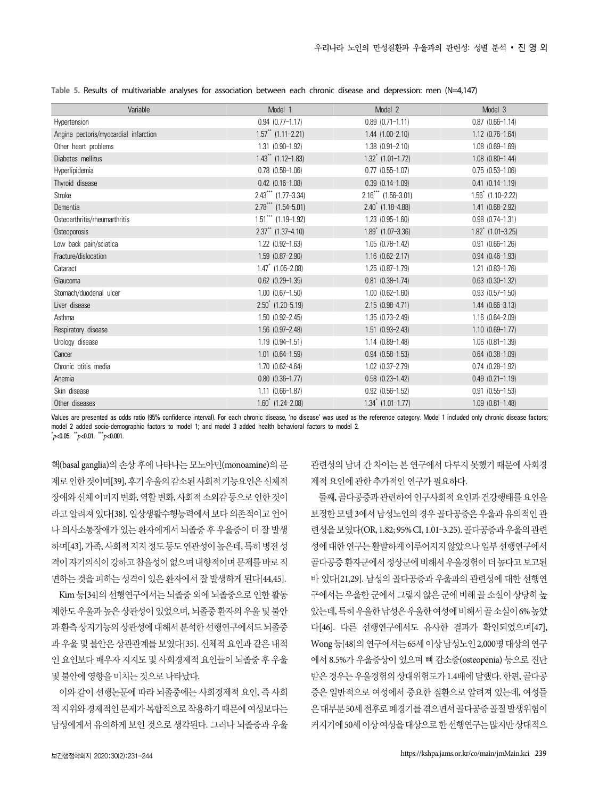| Variable                              | Model 1                              | Model 2                             | Model 3                |
|---------------------------------------|--------------------------------------|-------------------------------------|------------------------|
| Hypertension                          | $0.94$ $(0.77-1.17)$                 | $0.89$ $(0.71-1.11)$                | $0.87$ $(0.66-1.14)$   |
| Angina pectoris/myocardial infarction | $1.57$ ** (1.11-2.21)                | 1.44 (1.00-2.10)                    | $1.12$ (0.76-1.64)     |
| Other heart problems                  | 1.31 (0.90-1.92)                     | $1.38$ $(0.91 - 2.10)$              | $1.08$ $(0.69-1.69)$   |
| Diabetes mellitus                     | $1.43$ ** $(1.12 - 1.83)$            | $1.32$ $(1.01 - 1.72)$              | $1.08$ $(0.80-1.44)$   |
| Hyperlipidemia                        | $0.78$ $(0.58-1.06)$                 | $0.77$ $(0.55-1.07)$                | $0.75$ $(0.53-1.06)$   |
| Thyroid disease                       | $0.42$ $(0.16 - 1.08)$               | $0.39$ $(0.14 - 1.09)$              | $0.41$ $(0.14 - 1.19)$ |
| Stroke                                | $2.43***$ (1.77-3.34)                | $2.16***$ (1.56-3.01)               | $1.56^*$ (1.10-2.22)   |
| Dementia                              | $2.78$ *** (1.54-5.01)               | $2.40$ <sup>*</sup> $(1.18 - 4.88)$ | 1.41 (0.68-2.92)       |
| Osteoarthritis/rheumarthritis         | $1.51***$ (1.19-1.92)                | $1.23$ $(0.95 - 1.60)$              | $0.98$ $(0.74 - 1.31)$ |
| Osteoporosis                          | $2.37$ <sup>**</sup> $(1.37 - 4.10)$ | $1.89$ $(1.07 - 3.36)$              | $1.82$ (1.01-3.25)     |
| Low back pain/sciatica                | $1.22$ $(0.92 - 1.63)$               | $1.05$ $(0.78 - 1.42)$              | $0.91$ $(0.66-1.26)$   |
| Fracture/dislocation                  | $1.59$ $(0.87 - 2.90)$               | $1.16$ $(0.62 - 2.17)$              | $0.94$ $(0.46-1.93)$   |
| Cataract                              | $1.47$ (1.05-2.08)                   | 1.25 (0.87-1.79)                    | $1.21$ $(0.83 - 1.76)$ |
| Glaucoma                              | $0.62$ $(0.29 - 1.35)$               | $0.81$ $(0.38-1.74)$                | $0.63$ $(0.30-1.32)$   |
| Stomach/duodenal ulcer                | $1.00$ $(0.67-1.50)$                 | $1.00$ $(0.62 - 1.60)$              | $0.93$ $(0.57-1.50)$   |
| Liver disease                         | $2.50^{\degree}$ (1.20-5.19)         | 2.15 (0.98-4.71)                    | $1.44$ $(0.66-3.13)$   |
| Asthma                                | $1.50$ $(0.92 - 2.45)$               | $1.35$ $(0.73 - 2.49)$              | $1.16$ $(0.64 - 2.09)$ |
| Respiratory disease                   | $1.56$ $(0.97 - 2.48)$               | $1.51$ $(0.93 - 2.43)$              | $1.10$ $(0.69-1.77)$   |
| Urology disease                       | $1.19$ $(0.94 - 1.51)$               | $1.14$ $(0.89 - 1.48)$              | $1.06$ $(0.81 - 1.39)$ |
| Cancer                                | $1.01$ $(0.64 - 1.59)$               | $0.94$ $(0.58-1.53)$                | $0.64$ $(0.38-1.09)$   |
| Chronic otitis media                  | 1.70 (0.62-4.64)                     | 1.02 (0.37-2.79)                    | $0.74$ $(0.28-1.92)$   |
| Anemia                                | $0.80$ $(0.36-1.77)$                 | $0.58$ $(0.23-1.42)$                | $0.49$ $(0.21 - 1.19)$ |
| Skin disease                          | $1.11$ $(0.66-1.87)$                 | $0.92$ $(0.56-1.52)$                | $0.91$ $(0.55-1.53)$   |
| Other diseases                        | $1.60^{\degree}$ (1.24-2.08)         | $1.34$ $(1.01 - 1.77)$              | $1.09$ $(0.81 - 1.48)$ |

**Table 5.** Results of multivariable analyses for association between each chronic disease and depression: men (N=4,147)

Values are presented as odds ratio (95% confidence interval). For each chronic disease, 'no disease' was used as the reference category. Model 1 included only chronic disease factors; model 2 added socio-demographic factors to model 1; and model 3 added health behavioral factors to model 2.  $p<sub>0.05</sub>$ .  $p<sub>0.01</sub>$ .  $p<sub>0.001</sub>$ .

핵(basal ganglia)의 손상 후에 나타나는 모노아민(monoamine)의 문 제로 인한 것이며[39], 후기 우울의 감소된 사회적 기능요인은 신체적 장애와 신체 이미지 변화, 역할 변화, 사회적 소외감 등으로 인한 것이 라고 알려져 있다[38]. 일상생활수행능력에서 보다 의존적이고 언어 나 의사소통장애가 있는 환자에게서 뇌졸중 후 우울증이 더 잘 발생 하며[43], 가족, 사회적 지지 정도 등도 연관성이 높은데, 특히 병전 성 격이 자기의식이 강하고 참을성이 없으며 내향적이며 문제를 바로 직 면하는 것을 피하는 성격이 있은 환자에서 잘 발생하게 된다[44,45].

Kim 등[34]의 선행연구에서는 뇌졸중 외에 뇌졸중으로 인한 활동 제한도 우울과 높은 상관성이 있었으며, 뇌졸중 환자의 우울 및 불안 과 환측 상지기능의 상관성에 대해서 분석한 선행연구에서도 뇌졸중 과 우울 및 불안은 상관관계를 보였다[35]. 신체적 요인과 같은 내적 인 요인보다 배우자 지지도 및 사회경제적 요인들이 뇌졸중 후 우울 및 불안에 영향을 미치는 것으로 나타났다.

이와 같이 선행논문에 따라 뇌졸중에는 사회경제적 요인, 즉 사회 적 지위와 경제적인 문제가 복합적으로 작용하기 때문에 여성보다는 남성에게서 유의하게 보인 것으로 생각된다. 그러나 뇌졸중과 우울 관련성의 남녀 간 차이는 본 연구에서 다루지 못했기 때문에 사회경 제적 요인에 관한 추가적인 연구가 필요하다.

둘째, 골다공증과 관련하여 인구사회적 요인과 건강행태를 요인을 보정한 모델 3에서 남성노인의 경우 골다공증은 우울과 유의적인 관 련성을 보였다(OR, 1.82; 95% CI, 1.01–3.25). 골다공증과 우울의 관련 성에 대한 연구는 활발하게 이루어지지 않았으나 일부 선행연구에서 골다공증 환자군에서 정상군에 비해서 우울경험이 더 높다고 보고된 바 있다[21,29]. 남성의 골다공증과 우울과의 관련성에 대한 선행연 구에서는 우울한 군에서 그렇지 않은 군에 비해 골 소실이 상당히 높 았는데, 특히 우울한 남성은 우울한 여성에 비해서 골 소실이 6% 높았 다[46]. 다른 선행연구에서도 유사한 결과가 확인되었으며[47], Wong 등[48]의 연구에서는 65세 이상 남성노인 2,000명 대상의 연구 에서 8.5%가 우울증상이 있으며 뼈 감소증(osteopenia) 등으로 진단 받은 경우는 우울경험의 상대위험도가 1.4배에 달했다. 한편, 골다공 증은 일반적으로 여성에서 중요한 질환으로 알려져 있는데, 여성들 은 대부분 50세 전후로 폐경기를 겪으면서 골다공증 골절 발생위험이 커지기에 50세 이상 여성을 대상으로 한 선행연구는 많지만 상대적으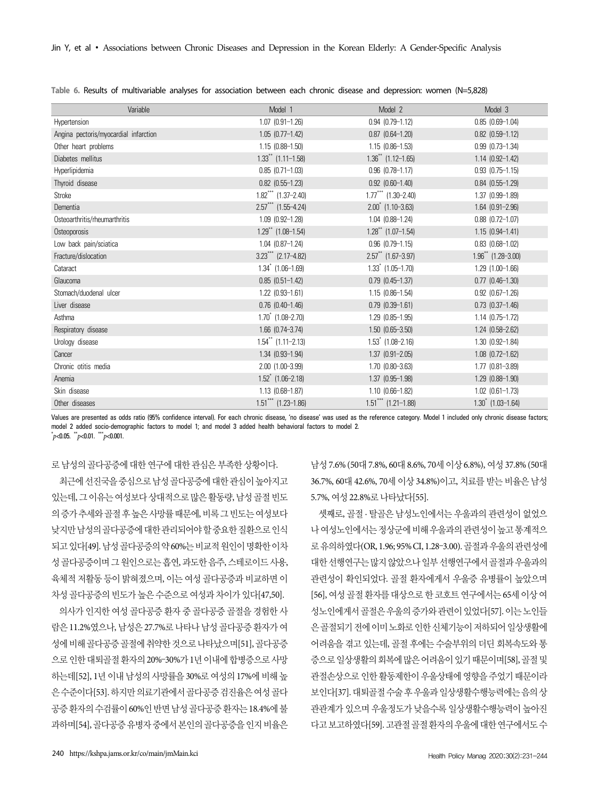| Variable                              | Model 1                      | Model 2                      | Model 3                              |
|---------------------------------------|------------------------------|------------------------------|--------------------------------------|
| Hypertension                          | $1.07$ $(0.91-1.26)$         | $0.94$ $(0.79 - 1.12)$       | $0.85$ $(0.69 - 1.04)$               |
| Angina pectoris/myocardial infarction | $1.05$ $(0.77-1.42)$         | $0.87$ $(0.64 - 1.20)$       | $0.82$ $(0.59 - 1.12)$               |
| Other heart problems                  | $1.15(0.88-1.50)$            | $1.15$ $(0.86-1.53)$         | $0.99$ $(0.73 - 1.34)$               |
| Diabetes mellitus                     | $1.33$ ** (1.11-1.58)        | $1.36$ ** $(1.12 - 1.65)$    | $1.14$ $(0.92 - 1.42)$               |
| Hyperlipidemia                        | $0.85$ $(0.71 - 1.03)$       | $0.96$ $(0.78-1.17)$         | $0.93$ $(0.75-1.15)$                 |
| Thyroid disease                       | $0.82$ $(0.55-1.23)$         | $0.92$ $(0.60 - 1.40)$       | $0.84$ $(0.55-1.29)$                 |
| Stroke                                | $1.82***$ $(1.37-2.40)$      | $1.77$ *** $(1.30 - 2.40)$   | $1.37$ $(0.99 - 1.89)$               |
| Dementia                              | $2.57***$ (1.55-4.24)        | $2.00^{\degree}$ (1.10-3.63) | $1.64$ $(0.91 - 2.96)$               |
| Osteoarthritis/rheumarthritis         | $1.09$ $(0.92 - 1.28)$       | $1.04$ $(0.88 - 1.24)$       | $0.88$ $(0.72 - 1.07)$               |
| <b>Osteoporosis</b>                   | $1.29$ ** (1.08-1.54)        | $1.28$ ** (1.07-1.54)        | $1.15(0.94-1.41)$                    |
| Low back pain/sciatica                | $1.04$ $(0.87-1.24)$         | $0.96$ $(0.79-1.15)$         | $0.83$ $(0.68-1.02)$                 |
| Fracture/dislocation                  | $3.23***$ (2.17-4.82)        | $2.57$ ** (1.67-3.97)        | $1.96$ <sup>**</sup> $(1.28 - 3.00)$ |
| Cataract                              | $1.34$ $(1.06 - 1.69)$       | $1.33$ $(1.05 - 1.70)$       | $1.29$ $(1.00-1.66)$                 |
| Glaucoma                              | $0.85$ $(0.51-1.42)$         | $0.79$ $(0.45 - 1.37)$       | $0.77$ $(0.46-1.30)$                 |
| Stomach/duodenal ulcer                | $1.22$ $(0.93 - 1.61)$       | $1.15$ $(0.86 - 1.54)$       | $0.92$ $(0.67-1.26)$                 |
| Liver disease                         | $0.76$ $(0.40-1.46)$         | $0.79$ $(0.39 - 1.61)$       | $0.73$ $(0.37-1.46)$                 |
| Asthma                                | $1.70^{\degree}$ (1.08-2.70) | $1.29$ $(0.85 - 1.95)$       | $1.14$ $(0.75 - 1.72)$               |
| Respiratory disease                   | $1.66$ $(0.74 - 3.74)$       | $1.50$ $(0.65 - 3.50)$       | $1.24$ $(0.58 - 2.62)$               |
| Urology disease                       | $1.54$ ** $(1.11 - 2.13)$    | $1.53$ $(1.08 - 2.16)$       | $1.30$ $(0.92 - 1.84)$               |
| Cancer                                | 1.34 (0.93-1.94)             | $1.37$ $(0.91 - 2.05)$       | $1.08$ $(0.72 - 1.62)$               |
| Chronic otitis media                  | $2.00$ $(1.00 - 3.99)$       | 1.70 (0.80-3.63)             | $1.77$ $(0.81 - 3.89)$               |
| Anemia                                | $1.52^*$ (1.06-2.18)         | 1.37 (0.95-1.98)             | $1.29$ $(0.88 - 1.90)$               |
| Skin disease                          | $1.13$ $(0.68-1.87)$         | $1.10$ $(0.66-1.82)$         | $1.02$ $(0.61 - 1.73)$               |
| Other diseases                        | $1.51***$ $(1.23-1.86)$      | $1.51***$ (1.21-1.88)        | $1.30^*$ (1.03-1.64)                 |

**Table 6.** Results of multivariable analyses for association between each chronic disease and depression: women (N=5,828)

Values are presented as odds ratio (95% confidence interval). For each chronic disease, 'no disease' was used as the reference category. Model 1 included only chronic disease factors; model 2 added socio-demographic factors to model 1; and model 3 added health behavioral factors to model 2.  $p<sub>0.05</sub>$ .  $p<sub>0.01</sub>$ .  $p<sub>0.001</sub>$ .

로 남성의 골다공증에 대한 연구에 대한 관심은 부족한 상황이다.

최근에 선진국을 중심으로 남성 골다공증에 대한 관심이 높아지고 있는데, 그 이유는 여성보다 상대적으로 많은 활동량, 남성 골절 빈도 의 증가 추세와 골절 후 높은 사망률 때문에, 비록 그 빈도는 여성보다 낮지만 남성의 골다공증에 대한 관리되어야 할 중요한 질환으로 인식 되고 있다[49]. 남성 골다공증의 약 60%는 비교적 원인이 명확한 이차 성 골다공증이며 그 원인으로는 흡연, 과도한 음주, 스테로이드 사용, 육체적 저활동 등이 밝혀졌으며, 이는 여성 골다공증과 비교하면 이 차성 골다공증의 빈도가 높은 수준으로 여성과 차이가 있다[47,50].

의사가 인지한 여성 골다공증 환자 중 골다공증 골절을 경험한 사 람은 11.2%였으나, 남성은 27.7%로 나타나 남성 골다공증 환자가 여 성에 비해 골다공증 골절에 취약한 것으로 나타났으며[51], 골다공증 으로 인한 대퇴골절 환자의 20%–30%가 1년 이내에 합병증으로 사망 하는데[52], 1년 이내 남성의 사망률을 30%로 여성의 17%에 비해 높 은 수준이다[53]. 하지만 의료기관에서 골다공증 검진율은 여성 골다 공증 환자의 수검률이 60%인 반면 남성 골다공증 환자는 18.4%에 불 과하며[54], 골다공증 유병자 중에서 본인의 골다공증을 인지 비율은

남성 7.6% (50대 7.8%, 60대 8.6%, 70세 이상 6.8%), 여성 37.8% (50대 36.7%, 60대 42.6%, 70세 이상 34.8%)이고, 치료를 받는 비율은 남성 5.7%, 여성 22.8%로 나타났다[55].

셋째로, 골절 · 탈골은 남성노인에서는 우울과의 관련성이 없었으 나 여성노인에서는 정상군에 비해 우울과의 관련성이 높고 통계적으 로 유의하였다(OR, 1.96; 95% CI, 1.28–3.00). 골절과 우울의 관련성에 대한 선행연구는 많지 않았으나 일부 선행연구에서 골절과 우울과의 관련성이 확인되었다. 골절 환자에게서 우울증 유병률이 높았으며 [56], 여성 골절 환자를 대상으로 한 코호트 연구에서는 65세 이상 여 성노인에게서 골절은 우울의 증가와 관련이 있었다[57]. 이는 노인들 은 골절되기 전에 이미 노화로 인한 신체기능이 저하되어 일상생활에 어려움을 겪고 있는데, 골절 후에는 수술부위의 더딘 회복속도와 통 증으로 일상생활의 회복에 많은 어려움이 있기 때문이며[58], 골절 및 관절손상으로 인한 활동제한이 우울상태에 영향을 주었기 때문이라 보인다[37]. 대퇴골절 수술 후 우울과 일상생활수행능력에는 음의 상 관관계가 있으며 우울정도가 낮을수록 일상생활수행능력이 높아진 다고 보고하였다[59]. 고관절 골절 환자의 우울에 대한 연구에서도 수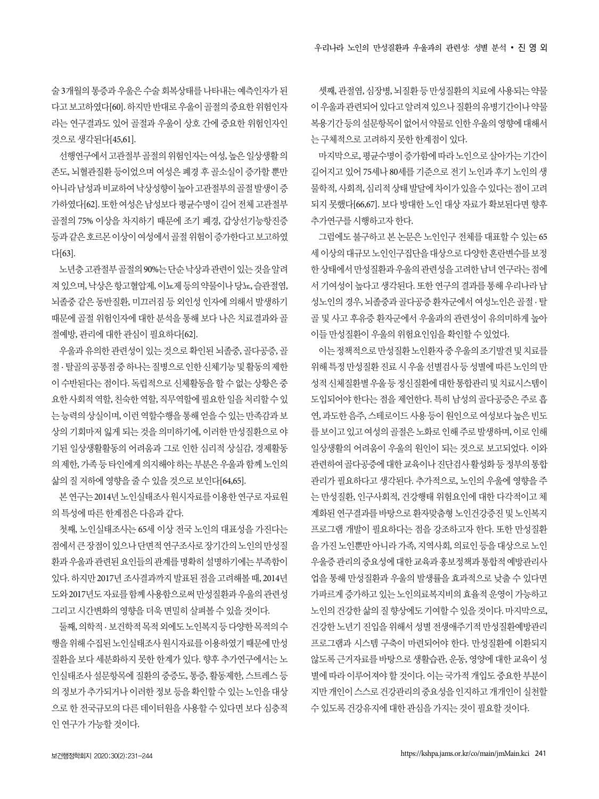술 3개월의 통증과 우울은 수술 회복상태를 나타내는 예측인자가 된 다고 보고하였다[60]. 하지만 반대로 우울이 골절의 중요한 위험인자 라는 연구결과도 있어 골절과 우울이 상호 간에 중요한 위험인자인 것으로 생각된다[45,61].

선행연구에서 고관절부 골절의 위험인자는 여성, 높은 일상생활 의 존도, 뇌혈관질환 등이었으며 여성은 폐경 후 골소실이 증가할 뿐만 아니라 남성과 비교하여 낙상성향이 높아 고관절부의 골절 발생이 증 가하였다[62]. 또한 여성은 남성보다 평균수명이 길어 전체 고관절부 골절의 75% 이상을 차지하기 때문에 조기 폐경, 갑상선기능항진증 등과 같은 호르몬 이상이 여성에서 골절 위험이 증가한다고 보고하였 다[63].

노년층 고관절부 골절의 90%는 단순 낙상과 관련이 있는 것을 알려 져 있으며, 낙상은 항고혈압제, 이뇨제 등의 약물이나 당뇨, 슬관절염, 뇌졸중 같은 동반질환, 미끄러짐 등 외인성 인자에 의해서 발생하기 때문에 골절 위험인자에 대한 분석을 통해 보다 나은 치료결과와 골 절예방, 관리에 대한 관심이 필요하다[62].

우울과 유의한 관련성이 있는 것으로 확인된 뇌졸중, 골다공증, 골 절 · 탈골의 공통점 중 하나는 질병으로 인한 신체기능 및 활동의 제한 이 수반된다는 점이다. 독립적으로 신체활동을 할 수 없는 상황은 중 요한 사회적 역할, 친숙한 역할, 직무역할에 필요한 일을 처리할 수 있 는 능력의 상실이며, 이런 역할수행을 통해 얻을 수 있는 만족감과 보 상의 기회마저 잃게 되는 것을 의미하기에, 이러한 만성질환으로 야 기된 일상생활활동의 어려움과 그로 인한 심리적 상실감, 경제활동 의 제한, 가족 등 타인에게 의지해야 하는 부분은 우울과 함께 노인의 삶의 질 저하에 영향을 줄 수 있을 것으로 보인다[64,65].

본 연구는 2014년 노인실태조사 원시자료를 이용한 연구로 자료원 의 특성에 따른 한계점은 다음과 같다.

첫째, 노인실태조사는 65세 이상 전국 노인의 대표성을 가진다는 점에서 큰 장점이 있으나 단면적 연구조사로 장기간의 노인의 만성질 환과 우울과 관련된 요인들의 관계를 명확히 설명하기에는 부족함이 있다. 하지만 2017년 조사결과까지 발표된 점을 고려해볼 때, 2014년 도와 2017년도 자료를 함께 사용함으로써 만성질환과 우울의 관련성 그리고 시간변화의 영향을 더욱 면밀히 살펴볼 수 있을 것이다.

둘째, 의학적 · 보건학적 목적 외에도 노인복지 등 다양한 목적의 수 행을 위해 수집된 노인실태조사 원시자료를 이용하였기 때문에 만성 질환을 보다 세분화하지 못한 한계가 있다. 향후 추가연구에서는 노 인실태조사 설문항목에 질환의 중증도, 통증, 활동제한, 스트레스 등 의 정보가 추가되거나 이러한 정보 등을 확인할 수 있는 노인을 대상 으로 한 전국규모의 다른 데이터원을 사용할 수 있다면 보다 심층적 인 연구가 가능할 것이다.

셋째, 관절염, 심장병, 뇌질환 등 만성질환의 치료에 사용되는 약물 이 우울과 관련되어 있다고 알려져 있으나 질환의 유병기간이나 약물 복용기간 등의 설문항목이 없어서 약물로 인한 우울의 영향에 대해서 는 구체적으로 고려하지 못한 한계점이 있다.

마지막으로, 평균수명이 증가함에 따라 노인으로 살아가는 기간이 길어지고 있어 75세나 80세를 기준으로 전기 노인과 후기 노인의 생 물학적, 사회적, 심리적 상태 발달에 차이가 있을 수 있다는 점이 고려 되지 못했다[66,67]. 보다 방대한 노인 대상 자료가 확보된다면 향후 추가연구를 시행하고자 한다.

그럼에도 불구하고 본 논문은 노인인구 전체를 대표할 수 있는 65 세 이상의 대규모 노인인구집단을 대상으로 다양한 혼란변수를 보정 한 상태에서 만성질환과 우울의 관련성을 고려한 남녀 연구라는 점에 서 기여성이 높다고 생각된다. 또한 연구의 결과를 통해 우리나라 남 성노인의 경우, 뇌졸중과 골다공증 환자군에서 여성노인은 골절 · 탈 골 및 사고 후유증 환자군에서 우울과의 관련성이 유의미하게 높아 이들 만성질환이 우울의 위험요인임을 확인할 수 있었다.

이는 정책적으로 만성질환 노인환자 중 우울의 조기발견 및 치료를 위해 특정 만성질환 진료 시 우울 선별검사 등 성별에 따른 노인의 만 성적 신체질환별 우울 등 정신질환에 대한 통합관리 및 치료시스템이 도입되어야 한다는 점을 제언한다. 특히 남성의 골다공증은 주로 흡 연, 과도한 음주, 스테로이드 사용 등이 원인으로 여성보다 높은 빈도 를 보이고 있고 여성의 골절은 노화로 인해 주로 발생하며, 이로 인해 일상생활의 어려움이 우울의 원인이 되는 것으로 보고되었다. 이와 관련하여 골다공증에 대한 교육이나 진단검사 활성화 등 정부의 통합 관리가 필요하다고 생각된다. 추가적으로, 노인의 우울에 영향을 주 는 만성질환, 인구사회적, 건강행태 위험요인에 대한 다각적이고 체 계화된 연구결과를 바탕으로 환자맞춤형 노인건강증진 및 노인복지 프로그램 개발이 필요하다는 점을 강조하고자 한다. 또한 만성질환 을 가진 노인뿐만 아니라 가족, 지역사회, 의료인 등을 대상으로 노인 우울증 관리의 중요성에 대한 교육과 홍보정책과 통합적 예방관리사 업을 통해 만성질환과 우울의 발생률을 효과적으로 낮출 수 있다면 가파르게 증가하고 있는 노인의료복지비의 효율적 운영이 가능하고 노인의 건강한 삶의 질 향상에도 기여할 수 있을 것이다. 마지막으로, 건강한 노년기 진입을 위해서 성별 전생애주기적 만성질환예방관리 프로그램과 시스템 구축이 마련되어야 한다. 만성질환에 이환되지 않도록 근거자료를 바탕으로 생활습관, 운동, 영양에 대한 교육이 성 별에 따라 이루어져야 할 것이다. 이는 국가적 개입도 중요한 부분이 지만 개인이 스스로 건강관리의 중요성을 인지하고 개개인이 실천할 수 있도록 건강유지에 대한 관심을 가지는 것이 필요할 것이다.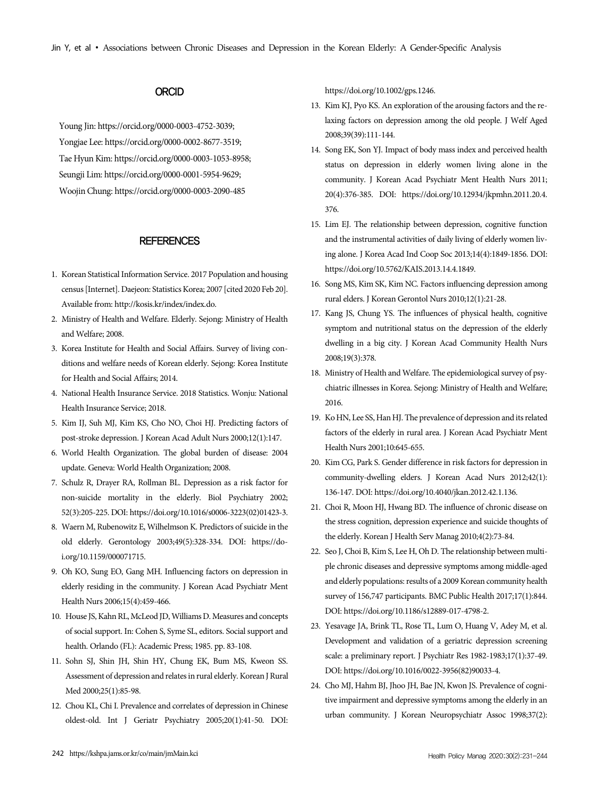# **ORCID**

Young Jin: https://orcid.org/0000-0003-4752-3039; Yongjae Lee: https://orcid.org/0000-0002-8677-3519; Tae Hyun Kim: https://orcid.org/0000-0003-1053-8958; Seungji Lim: https://orcid.org/0000-0001-5954-9629; Woojin Chung: https://orcid.org/0000-0003-2090-485

#### **REFERENCES**

- 1. Korean Statistical Information Service. 2017 Population and housing census [Internet]. Daejeon: Statistics Korea; 2007 [cited 2020 Feb 20]. Available from: http://kosis.kr/index/index.do.
- 2. Ministry of Health and Welfare. Elderly. Sejong: Ministry of Health and Welfare; 2008.
- 3. Korea Institute for Health and Social Affairs. Survey of living conditions and welfare needs of Korean elderly. Sejong: Korea Institute for Health and Social Affairs; 2014.
- 4. National Health Insurance Service. 2018 Statistics. Wonju: National Health Insurance Service; 2018.
- 5. Kim IJ, Suh MJ, Kim KS, Cho NO, Choi HJ. Predicting factors of post-stroke depression. J Korean Acad Adult Nurs 2000;12(1):147.
- 6. World Health Organization. The global burden of disease: 2004 update. Geneva: World Health Organization; 2008.
- 7. Schulz R, Drayer RA, Rollman BL. Depression as a risk factor for non-suicide mortality in the elderly. Biol Psychiatry 2002; 52(3):205-225. DOI: https://doi.org/10.1016/s0006-3223(02)01423-3.
- 8. Waern M, Rubenowitz E, Wilhelmson K. Predictors of suicide in the old elderly. Gerontology 2003;49(5):328-334. DOI: https://doi.org/10.1159/000071715.
- 9. Oh KO, Sung EO, Gang MH. Influencing factors on depression in elderly residing in the community. J Korean Acad Psychiatr Ment Health Nurs 2006;15(4):459-466.
- 10. House JS, Kahn RL, McLeod JD, Williams D. Measures and concepts of social support. In: Cohen S, Syme SL, editors. Social support and health. Orlando (FL): Academic Press; 1985. pp. 83-108.
- 11. Sohn SJ, Shin JH, Shin HY, Chung EK, Bum MS, Kweon SS. Assessment of depression and relates in rural elderly. Korean J Rural Med 2000;25(1):85-98.
- 12. Chou KL, Chi I. Prevalence and correlates of depression in Chinese oldest-old. Int J Geriatr Psychiatry 2005;20(1):41-50. DOI:

https://doi.org/10.1002/gps.1246.

- 13. Kim KJ, Pyo KS. An exploration of the arousing factors and the relaxing factors on depression among the old people. J Welf Aged 2008;39(39):111-144.
- 14. Song EK, Son YJ. Impact of body mass index and perceived health status on depression in elderly women living alone in the community. J Korean Acad Psychiatr Ment Health Nurs 2011; 20(4):376-385. DOI: https://doi.org/10.12934/jkpmhn.2011.20.4. 376.
- 15. Lim EJ. The relationship between depression, cognitive function and the instrumental activities of daily living of elderly women living alone. J Korea Acad Ind Coop Soc 2013;14(4):1849-1856. DOI: https://doi.org/10.5762/KAIS.2013.14.4.1849.
- 16. Song MS, Kim SK, Kim NC. Factors influencing depression among rural elders. J Korean Gerontol Nurs 2010;12(1):21-28.
- 17. Kang JS, Chung YS. The influences of physical health, cognitive symptom and nutritional status on the depression of the elderly dwelling in a big city. J Korean Acad Community Health Nurs 2008;19(3):378.
- 18. Ministry of Health and Welfare. The epidemiological survey of psychiatric illnesses in Korea. Sejong: Ministry of Health and Welfare; 2016.
- 19. Ko HN, Lee SS, Han HJ. The prevalence of depression and its related factors of the elderly in rural area. J Korean Acad Psychiatr Ment Health Nurs 2001;10:645-655.
- 20. Kim CG, Park S. Gender difference in risk factors for depression in community-dwelling elders. J Korean Acad Nurs 2012;42(1): 136-147. DOI: https://doi.org/10.4040/jkan.2012.42.1.136.
- 21. Choi R, Moon HJ, Hwang BD. The influence of chronic disease on the stress cognition, depression experience and suicide thoughts of the elderly. Korean J Health Serv Manag 2010;4(2):73-84.
- 22. Seo J, Choi B, Kim S, Lee H, Oh D. The relationship between multiple chronic diseases and depressive symptoms among middle-aged and elderly populations: results of a 2009 Korean community health survey of 156,747 participants. BMC Public Health 2017;17(1):844. DOI: https://doi.org/10.1186/s12889-017-4798-2.
- 23. Yesavage JA, Brink TL, Rose TL, Lum O, Huang V, Adey M, et al. Development and validation of a geriatric depression screening scale: a preliminary report. J Psychiatr Res 1982-1983;17(1):37-49. DOI: https://doi.org/10.1016/0022-3956(82)90033-4.
- 24. Cho MJ, Hahm BJ, Jhoo JH, Bae JN, Kwon JS. Prevalence of cognitive impairment and depressive symptoms among the elderly in an urban community. J Korean Neuropsychiatr Assoc 1998;37(2):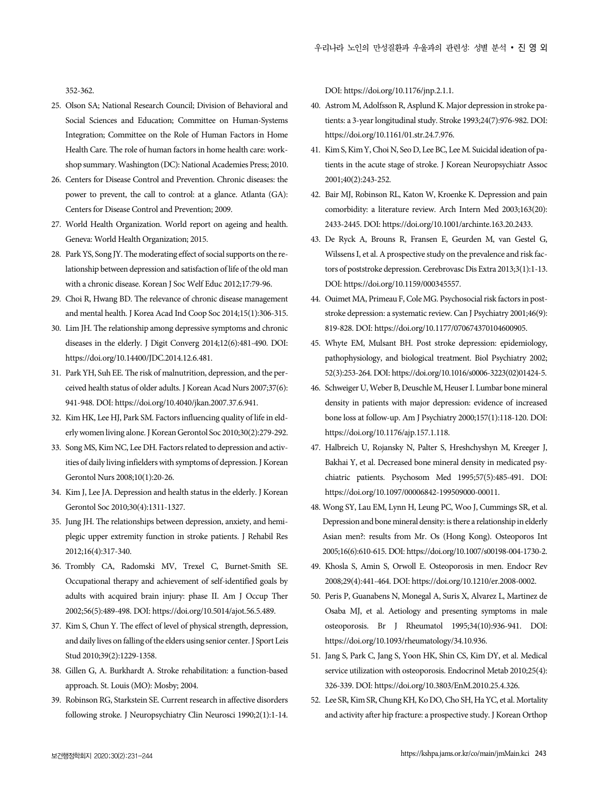352-362.

- 25. Olson SA; National Research Council; Division of Behavioral and Social Sciences and Education; Committee on Human-Systems Integration; Committee on the Role of Human Factors in Home Health Care. The role of human factors in home health care: workshop summary. Washington (DC): National Academies Press; 2010.
- 26. Centers for Disease Control and Prevention. Chronic diseases: the power to prevent, the call to control: at a glance. Atlanta (GA): Centers for Disease Control and Prevention; 2009.
- 27. World Health Organization. World report on ageing and health. Geneva: World Health Organization; 2015.
- 28. Park YS, Song JY. The moderating effect of social supports on the relationship between depression and satisfaction of life of the old man with a chronic disease. Korean J Soc Welf Educ 2012;17:79-96.
- 29. Choi R, Hwang BD. The relevance of chronic disease management and mental health. J Korea Acad Ind Coop Soc 2014;15(1):306-315.
- 30. Lim JH. The relationship among depressive symptoms and chronic diseases in the elderly. J Digit Converg 2014;12(6):481-490. DOI: https://doi.org/10.14400/JDC.2014.12.6.481.
- 31. Park YH, Suh EE. The risk of malnutrition, depression, and the perceived health status of older adults. J Korean Acad Nurs 2007;37(6): 941-948. DOI: https://doi.org/10.4040/jkan.2007.37.6.941.
- 32. Kim HK, Lee HJ, Park SM. Factors influencing quality of life in elderly women living alone. J Korean Gerontol Soc 2010;30(2):279-292.
- 33. Song MS, Kim NC, Lee DH. Factors related to depression and activities of daily living infielders with symptoms of depression. J Korean Gerontol Nurs 2008;10(1):20-26.
- 34. Kim J, Lee JA. Depression and health status in the elderly. J Korean Gerontol Soc 2010;30(4):1311-1327.
- 35. Jung JH. The relationships between depression, anxiety, and hemiplegic upper extremity function in stroke patients. J Rehabil Res 2012;16(4):317-340.
- 36. Trombly CA, Radomski MV, Trexel C, Burnet-Smith SE. Occupational therapy and achievement of self-identified goals by adults with acquired brain injury: phase II. Am J Occup Ther 2002;56(5):489-498. DOI: https://doi.org/10.5014/ajot.56.5.489.
- 37. Kim S, Chun Y. The effect of level of physical strength, depression, and daily lives on falling of the elders using senior center. J Sport Leis Stud 2010;39(2):1229-1358.
- 38. Gillen G, A. Burkhardt A. Stroke rehabilitation: a function-based approach. St. Louis (MO): Mosby; 2004.
- 39. Robinson RG, Starkstein SE. Current research in affective disorders following stroke. J Neuropsychiatry Clin Neurosci 1990;2(1):1-14.

DOI: https://doi.org/10.1176/jnp.2.1.1.

- 40. Astrom M, Adolfsson R, Asplund K. Major depression in stroke patients: a 3-year longitudinal study. Stroke 1993;24(7):976-982. DOI: https://doi.org/10.1161/01.str.24.7.976.
- 41. Kim S, Kim Y, Choi N, Seo D, Lee BC, Lee M. Suicidal ideation of patients in the acute stage of stroke. J Korean Neuropsychiatr Assoc 2001;40(2):243-252.
- 42. Bair MJ, Robinson RL, Katon W, Kroenke K. Depression and pain comorbidity: a literature review. Arch Intern Med 2003;163(20): 2433-2445. DOI: https://doi.org/10.1001/archinte.163.20.2433.
- 43. De Ryck A, Brouns R, Fransen E, Geurden M, van Gestel G, Wilssens I, et al. A prospective study on the prevalence and risk factors of poststroke depression. Cerebrovasc Dis Extra 2013;3(1):1-13. DOI: https://doi.org/10.1159/000345557.
- 44. Ouimet MA, Primeau F, Cole MG. Psychosocial risk factors in poststroke depression: a systematic review. Can J Psychiatry 2001;46(9): 819-828. DOI: https://doi.org/10.1177/070674370104600905.
- 45. Whyte EM, Mulsant BH. Post stroke depression: epidemiology, pathophysiology, and biological treatment. Biol Psychiatry 2002; 52(3):253-264. DOI: https://doi.org/10.1016/s0006-3223(02)01424-5.
- 46. Schweiger U, Weber B, Deuschle M, Heuser I. Lumbar bone mineral density in patients with major depression: evidence of increased bone loss at follow-up. Am J Psychiatry 2000;157(1):118-120. DOI: https://doi.org/10.1176/ajp.157.1.118.
- 47. Halbreich U, Rojansky N, Palter S, Hreshchyshyn M, Kreeger J, Bakhai Y, et al. Decreased bone mineral density in medicated psychiatric patients. Psychosom Med 1995;57(5):485-491. DOI: https://doi.org/10.1097/00006842-199509000-00011.
- 48. Wong SY, Lau EM, Lynn H, Leung PC, Woo J, Cummings SR, et al. Depression and bone mineral density: is there a relationship in elderly Asian men?: results from Mr. Os (Hong Kong). Osteoporos Int 2005;16(6):610-615. DOI: https://doi.org/10.1007/s00198-004-1730-2.
- 49. Khosla S, Amin S, Orwoll E. Osteoporosis in men. Endocr Rev 2008;29(4):441-464. DOI: https://doi.org/10.1210/er.2008-0002.
- 50. Peris P, Guanabens N, Monegal A, Suris X, Alvarez L, Martinez de Osaba MJ, et al. Aetiology and presenting symptoms in male osteoporosis. Br J Rheumatol 1995;34(10):936-941. DOI: https://doi.org/10.1093/rheumatology/34.10.936.
- 51. Jang S, Park C, Jang S, Yoon HK, Shin CS, Kim DY, et al. Medical service utilization with osteoporosis. Endocrinol Metab 2010;25(4): 326-339. DOI: https://doi.org/10.3803/EnM.2010.25.4.326.
- 52. Lee SR, Kim SR, Chung KH, Ko DO, Cho SH, Ha YC, et al. Mortality and activity after hip fracture: a prospective study. J Korean Orthop